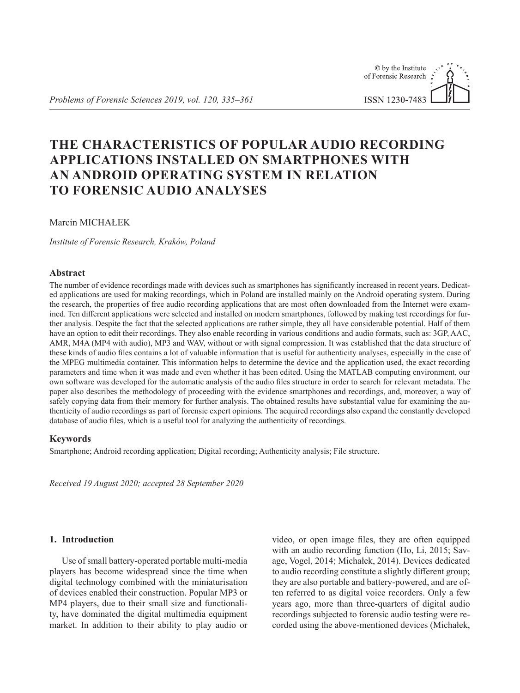# **THE CHARACTERISTICS OF POPULAR AUDIO RECORDING APPLICATIONS INSTALLED ON SMARTPHONES WITH AN ANDROID OPERATING SYSTEM IN RELATION TO FORENSIC AUDIO ANALYSES**

Marcin MICHAŁEK

*Institute of Forensic Research, Kraków, Poland*

# **Abstract**

The number of evidence recordings made with devices such as smartphones has significantly increased in recent years. Dedicated applications are used for making recordings, which in Poland are installed mainly on the Android operating system. During the research, the properties of free audio recording applications that are most often downloaded from the Internet were examined. Ten different applications were selected and installed on modern smartphones, followed by making test recordings for further analysis. Despite the fact that the selected applications are rather simple, they all have considerable potential. Half of them have an option to edit their recordings. They also enable recording in various conditions and audio formats, such as: 3GP, AAC, AMR, M4A (MP4 with audio), MP3 and WAV, without or with signal compression. It was established that the data structure of these kinds of audio files contains a lot of valuable information that is useful for authenticity analyses, especially in the case of the MPEG multimedia container. This information helps to determine the device and the application used, the exact recording parameters and time when it was made and even whether it has been edited. Using the MATLAB computing environment, our own software was developed for the automatic analysis of the audio files structure in order to search for relevant metadata. The paper also describes the methodology of proceeding with the evidence smartphones and recordings, and, moreover, a way of safely copying data from their memory for further analysis. The obtained results have substantial value for examining the authenticity of audio recordings as part of forensic expert opinions. The acquired recordings also expand the constantly developed database of audio files, which is a useful tool for analyzing the authenticity of recordings.

# **Keywords**

Smartphone; Android recording application; Digital recording; Authenticity analysis; File structure.

*Received 19 August 2020; accepted 28 September 2020*

## **1. Introduction**

Use of small battery-operated portable multi-media players has become widespread since the time when digital technology combined with the miniaturisation of devices enabled their construction. Popular MP3 or MP4 players, due to their small size and functionality, have dominated the digital multimedia equipment market. In addition to their ability to play audio or video, or open image files, they are often equipped with an audio recording function (Ho, Li, 2015; Savage, Vogel, 2014; Michałek, 2014). Devices dedicated to audio recording constitute a slightly different group; they are also portable and battery-powered, and are often referred to as digital voice recorders. Only a few years ago, more than three-quarters of digital audio recordings subjected to forensic audio testing were recorded using the above-mentioned devices (Michałek,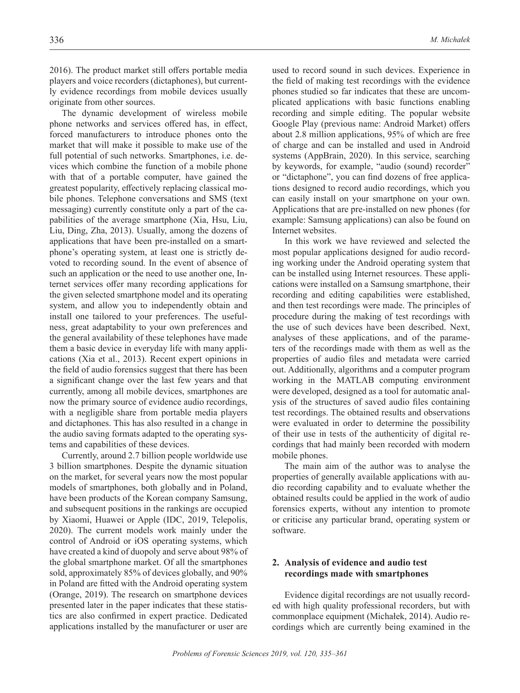2016). The product market still offers portable media players and voice recorders (dictaphones), but currently evidence recordings from mobile devices usually originate from other sources.

The dynamic development of wireless mobile phone networks and services offered has, in effect, forced manufacturers to introduce phones onto the market that will make it possible to make use of the full potential of such networks. Smartphones, i.e. devices which combine the function of a mobile phone with that of a portable computer, have gained the greatest popularity, effectively replacing classical mobile phones. Telephone conversations and SMS (text messaging) currently constitute only a part of the capabilities of the average smartphone (Xia, Hsu, Liu, Liu, Ding, Zha, 2013). Usually, among the dozens of applications that have been pre-installed on a smartphone's operating system, at least one is strictly devoted to recording sound. In the event of absence of such an application or the need to use another one, Internet services offer many recording applications for the given selected smartphone model and its operating system, and allow you to independently obtain and install one tailored to your preferences. The usefulness, great adaptability to your own preferences and the general availability of these telephones have made them a basic device in everyday life with many applications (Xia et al., 2013). Recent expert opinions in the field of audio forensics suggest that there has been a significant change over the last few years and that currently, among all mobile devices, smartphones are now the primary source of evidence audio recordings, with a negligible share from portable media players and dictaphones. This has also resulted in a change in the audio saving formats adapted to the operating systems and capabilities of these devices.

Currently, around 2.7 billion people worldwide use 3 billion smartphones. Despite the dynamic situation on the market, for several years now the most popular models of smartphones, both globally and in Poland, have been products of the Korean company Samsung, and subsequent positions in the rankings are occupied by Xiaomi, Huawei or Apple (IDC, 2019, Telepolis, 2020). The current models work mainly under the control of Android or iOS operating systems, which have created a kind of duopoly and serve about 98% of the global smartphone market. Of all the smartphones sold, approximately 85% of devices globally, and 90% in Poland are fitted with the Android operating system (Orange, 2019). The research on smartphone devices presented later in the paper indicates that these statistics are also confirmed in expert practice. Dedicated applications installed by the manufacturer or user are

used to record sound in such devices. Experience in the field of making test recordings with the evidence phones studied so far indicates that these are uncomplicated applications with basic functions enabling recording and simple editing. The popular website Google Play (previous name: Android Market) offers about 2.8 million applications, 95% of which are free of charge and can be installed and used in Android systems (AppBrain, 2020). In this service, searching by keywords, for example, "audio (sound) recorder" or "dictaphone", you can find dozens of free applications designed to record audio recordings, which you can easily install on your smartphone on your own. Applications that are pre-installed on new phones (for example: Samsung applications) can also be found on Internet websites.

In this work we have reviewed and selected the most popular applications designed for audio recording working under the Android operating system that can be installed using Internet resources. These applications were installed on a Samsung smartphone, their recording and editing capabilities were established, and then test recordings were made. The principles of procedure during the making of test recordings with the use of such devices have been described. Next, analyses of these applications, and of the parameters of the recordings made with them as well as the properties of audio files and metadata were carried out. Additionally, algorithms and a computer program working in the MATLAB computing environment were developed, designed as a tool for automatic analysis of the structures of saved audio files containing test recordings. The obtained results and observations were evaluated in order to determine the possibility of their use in tests of the authenticity of digital recordings that had mainly been recorded with modern mobile phones.

The main aim of the author was to analyse the properties of generally available applications with audio recording capability and to evaluate whether the obtained results could be applied in the work of audio forensics experts, without any intention to promote or criticise any particular brand, operating system or software.

# **2. Analysis of evidence and audio test recordings made with smartphones**

Evidence digital recordings are not usually recorded with high quality professional recorders, but with commonplace equipment (Michałek, 2014). Audio recordings which are currently being examined in the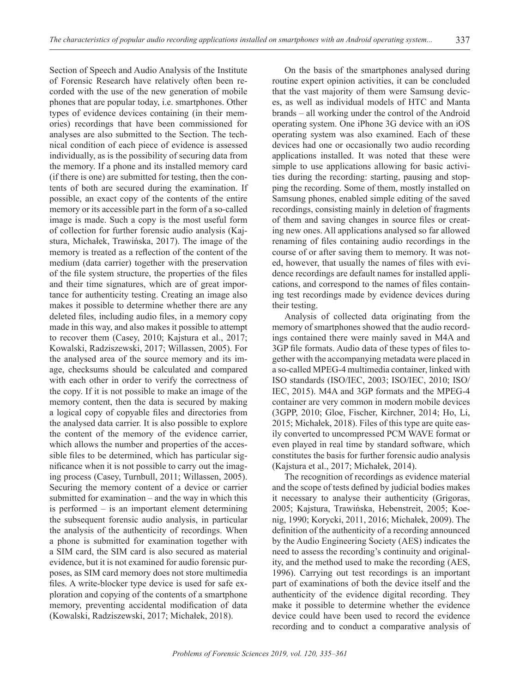Section of Speech and Audio Analysis of the Institute of Forensic Research have relatively often been recorded with the use of the new generation of mobile phones that are popular today, i.e. smartphones. Other types of evidence devices containing (in their memories) recordings that have been commissioned for analyses are also submitted to the Section. The technical condition of each piece of evidence is assessed individually, as is the possibility of securing data from the memory. If a phone and its installed memory card (if there is one) are submitted for testing, then the contents of both are secured during the examination. If possible, an exact copy of the contents of the entire memory or its accessible part in the form of a so-called image is made. Such a copy is the most useful form of collection for further forensic audio analysis (Kajstura, Michałek, Trawińska, 2017). The image of the memory is treated as a reflection of the content of the medium (data carrier) together with the preservation of the file system structure, the properties of the files and their time signatures, which are of great importance for authenticity testing. Creating an image also makes it possible to determine whether there are any deleted files, including audio files, in a memory copy made in this way, and also makes it possible to attempt to recover them (Casey, 2010; Kajstura et al., 2017; Kowalski, Radziszewski, 2017; Willassen, 2005). For the analysed area of the source memory and its image, checksums should be calculated and compared with each other in order to verify the correctness of the copy. If it is not possible to make an image of the memory content, then the data is secured by making a logical copy of copyable files and directories from the analysed data carrier. It is also possible to explore the content of the memory of the evidence carrier, which allows the number and properties of the accessible files to be determined, which has particular significance when it is not possible to carry out the imaging process (Casey, Turnbull, 2011; Willassen, 2005). Securing the memory content of a device or carrier submitted for examination – and the way in which this is performed – is an important element determining the subsequent forensic audio analysis, in particular the analysis of the authenticity of recordings. When a phone is submitted for examination together with a SIM card, the SIM card is also secured as material evidence, but it is not examined for audio forensic purposes, as SIM card memory does not store multimedia files. A write-blocker type device is used for safe exploration and copying of the contents of a smartphone memory, preventing accidental modification of data (Kowalski, Radziszewski, 2017; Michałek, 2018).

On the basis of the smartphones analysed during routine expert opinion activities, it can be concluded that the vast majority of them were Samsung devices, as well as individual models of HTC and Manta brands – all working under the control of the Android operating system. One iPhone 3G device with an iOS operating system was also examined. Each of these devices had one or occasionally two audio recording applications installed. It was noted that these were simple to use applications allowing for basic activities during the recording: starting, pausing and stopping the recording. Some of them, mostly installed on Samsung phones, enabled simple editing of the saved recordings, consisting mainly in deletion of fragments of them and saving changes in source files or creating new ones. All applications analysed so far allowed renaming of files containing audio recordings in the course of or after saving them to memory. It was noted, however, that usually the names of files with evidence recordings are default names for installed applications, and correspond to the names of files containing test recordings made by evidence devices during their testing.

Analysis of collected data originating from the memory of smartphones showed that the audio recordings contained there were mainly saved in M4A and 3GP file formats. Audio data of these types of files together with the accompanying metadata were placed in a so-called MPEG-4 multimedia container, linked with ISO standards (ISO/IEC, 2003; ISO/IEC, 2010; ISO/ IEC, 2015). M4A and 3GP formats and the MPEG-4 container are very common in modern mobile devices (3GPP, 2010; Gloe, Fischer, Kirchner, 2014; Ho, Li, 2015; Michałek, 2018). Files of this type are quite easily converted to uncompressed PCM WAVE format or even played in real time by standard software, which constitutes the basis for further forensic audio analysis (Kajstura et al., 2017; Michałek, 2014).

The recognition of recordings as evidence material and the scope of tests defined by judicial bodies makes it necessary to analyse their authenticity (Grigoras, 2005; Kajstura, Trawińska, Hebenstreit, 2005; Koenig, 1990; Korycki, 2011, 2016; Michałek, 2009). The definition of the authenticity of a recording announced by the Audio Engineering Society (AES) indicates the need to assess the recording's continuity and originality, and the method used to make the recording (AES, 1996). Carrying out test recordings is an important part of examinations of both the device itself and the authenticity of the evidence digital recording. They make it possible to determine whether the evidence device could have been used to record the evidence recording and to conduct a comparative analysis of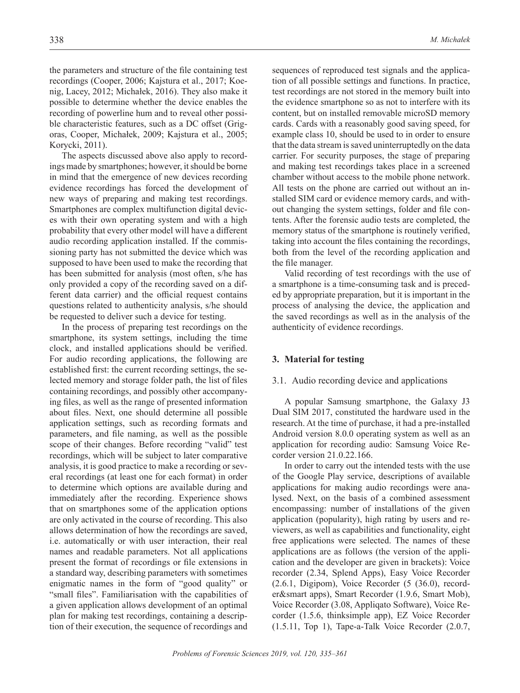the parameters and structure of the file containing test recordings (Cooper, 2006; Kajstura et al., 2017; Koenig, Lacey, 2012; Michałek, 2016). They also make it possible to determine whether the device enables the recording of powerline hum and to reveal other possible characteristic features, such as a DC offset (Grigoras, Cooper, Michałek, 2009; Kajstura et al., 2005; Korycki, 2011).

The aspects discussed above also apply to recordings made by smartphones; however, it should be borne in mind that the emergence of new devices recording evidence recordings has forced the development of new ways of preparing and making test recordings. Smartphones are complex multifunction digital devices with their own operating system and with a high probability that every other model will have a different audio recording application installed. If the commissioning party has not submitted the device which was supposed to have been used to make the recording that has been submitted for analysis (most often, s/he has only provided a copy of the recording saved on a different data carrier) and the official request contains questions related to authenticity analysis, s/he should be requested to deliver such a device for testing.

In the process of preparing test recordings on the smartphone, its system settings, including the time clock, and installed applications should be verified. For audio recording applications, the following are established first: the current recording settings, the selected memory and storage folder path, the list of files containing recordings, and possibly other accompanying files, as well as the range of presented information about files. Next, one should determine all possible application settings, such as recording formats and parameters, and file naming, as well as the possible scope of their changes. Before recording "valid" test recordings, which will be subject to later comparative analysis, it is good practice to make a recording or several recordings (at least one for each format) in order to determine which options are available during and immediately after the recording. Experience shows that on smartphones some of the application options are only activated in the course of recording. This also allows determination of how the recordings are saved, i.e. automatically or with user interaction, their real names and readable parameters. Not all applications present the format of recordings or file extensions in a standard way, describing parameters with sometimes enigmatic names in the form of "good quality" or "small files". Familiarisation with the capabilities of a given application allows development of an optimal plan for making test recordings, containing a description of their execution, the sequence of recordings and

sequences of reproduced test signals and the application of all possible settings and functions. In practice, test recordings are not stored in the memory built into the evidence smartphone so as not to interfere with its content, but on installed removable microSD memory cards. Cards with a reasonably good saving speed, for example class 10, should be used to in order to ensure that the data stream is saved uninterruptedly on the data carrier. For security purposes, the stage of preparing and making test recordings takes place in a screened chamber without access to the mobile phone network. All tests on the phone are carried out without an installed SIM card or evidence memory cards, and without changing the system settings, folder and file contents. After the forensic audio tests are completed, the memory status of the smartphone is routinely verified, taking into account the files containing the recordings, both from the level of the recording application and the file manager.

Valid recording of test recordings with the use of a smartphone is a time-consuming task and is preceded by appropriate preparation, but it is important in the process of analysing the device, the application and the saved recordings as well as in the analysis of the authenticity of evidence recordings.

#### **3. Material for testing**

#### 3.1. Audio recording device and applications

A popular Samsung smartphone, the Galaxy J3 Dual SIM 2017, constituted the hardware used in the research. At the time of purchase, it had a pre-installed Android version 8.0.0 operating system as well as an application for recording audio: Samsung Voice Recorder version 21.0.22.166.

In order to carry out the intended tests with the use of the Google Play service, descriptions of available applications for making audio recordings were analysed. Next, on the basis of a combined assessment encompassing: number of installations of the given application (popularity), high rating by users and reviewers, as well as capabilities and functionality, eight free applications were selected. The names of these applications are as follows (the version of the application and the developer are given in brackets): Voice recorder (2.34, Splend Apps), Easy Voice Recorder (2.6.1, Digipom), Voice Recorder (5 (36.0), recorder&smart apps), Smart Recorder (1.9.6, Smart Mob), Voice Recorder (3.08, Appliqato Software), Voice Recorder (1.5.6, thinksimple app), EZ Voice Recorder (1.5.11, Top 1), Tape-a-Talk Voice Recorder (2.0.7,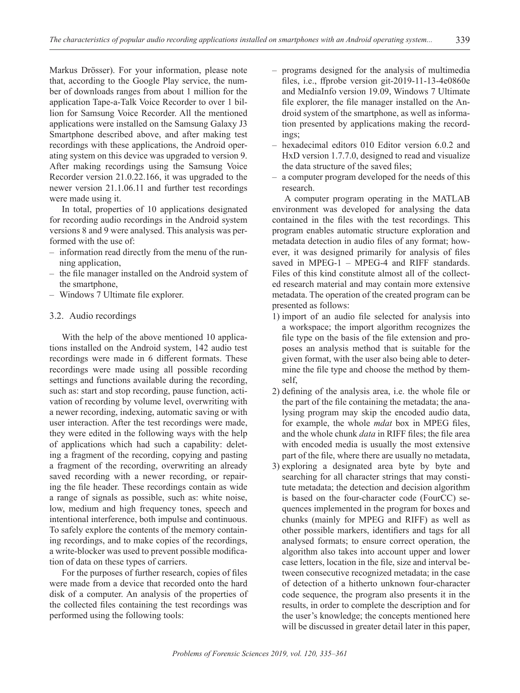Markus Drösser). For your information, please note that, according to the Google Play service, the number of downloads ranges from about 1 million for the application Tape-a-Talk Voice Recorder to over 1 billion for Samsung Voice Recorder. All the mentioned applications were installed on the Samsung Galaxy J3 Smartphone described above, and after making test recordings with these applications, the Android operating system on this device was upgraded to version 9. After making recordings using the Samsung Voice Recorder version 21.0.22.166, it was upgraded to the newer version 21.1.06.11 and further test recordings were made using it.

In total, properties of 10 applications designated for recording audio recordings in the Android system versions 8 and 9 were analysed. This analysis was performed with the use of:

- information read directly from the menu of the running application,
- the file manager installed on the Android system of the smartphone,
- Windows 7 Ultimate file explorer.

#### 3.2. Audio recordings

With the help of the above mentioned 10 applications installed on the Android system, 142 audio test recordings were made in 6 different formats. These recordings were made using all possible recording settings and functions available during the recording, such as: start and stop recording, pause function, activation of recording by volume level, overwriting with a newer recording, indexing, automatic saving or with user interaction. After the test recordings were made, they were edited in the following ways with the help of applications which had such a capability: deleting a fragment of the recording, copying and pasting a fragment of the recording, overwriting an already saved recording with a newer recording, or repairing the file header. These recordings contain as wide a range of signals as possible, such as: white noise, low, medium and high frequency tones, speech and intentional interference, both impulse and continuous. To safely explore the contents of the memory containing recordings, and to make copies of the recordings, a write-blocker was used to prevent possible modification of data on these types of carriers.

For the purposes of further research, copies of files were made from a device that recorded onto the hard disk of a computer. An analysis of the properties of the collected files containing the test recordings was performed using the following tools:

- programs designed for the analysis of multimedia files, i.e., ffprobe version git-2019-11-13-4e0860e and MediaInfo version 19.09, Windows 7 Ultimate file explorer, the file manager installed on the Android system of the smartphone, as well as information presented by applications making the recordings;
- hexadecimal editors 010 Editor version 6.0.2 and HxD version 1.7.7.0, designed to read and visualize the data structure of the saved files;
- a computer program developed for the needs of this research.

A computer program operating in the MATLAB environment was developed for analysing the data contained in the files with the test recordings. This program enables automatic structure exploration and metadata detection in audio files of any format; however, it was designed primarily for analysis of files saved in MPEG-1 – MPEG-4 and RIFF standards. Files of this kind constitute almost all of the collected research material and may contain more extensive metadata. The operation of the created program can be presented as follows:

- 1) import of an audio file selected for analysis into a workspace; the import algorithm recognizes the file type on the basis of the file extension and proposes an analysis method that is suitable for the given format, with the user also being able to determine the file type and choose the method by themself,
- 2) defining of the analysis area, i.e. the whole file or the part of the file containing the metadata; the analysing program may skip the encoded audio data, for example, the whole *mdat* box in MPEG files, and the whole chunk *data* in RIFF files; the file area with encoded media is usually the most extensive part of the file, where there are usually no metadata,
- 3) exploring a designated area byte by byte and searching for all character strings that may constitute metadata; the detection and decision algorithm is based on the four-character code (FourCC) sequences implemented in the program for boxes and chunks (mainly for MPEG and RIFF) as well as other possible markers, identifiers and tags for all analysed formats; to ensure correct operation, the algorithm also takes into account upper and lower case letters, location in the file, size and interval between consecutive recognized metadata; in the case of detection of a hitherto unknown four-character code sequence, the program also presents it in the results, in order to complete the description and for the user's knowledge; the concepts mentioned here will be discussed in greater detail later in this paper,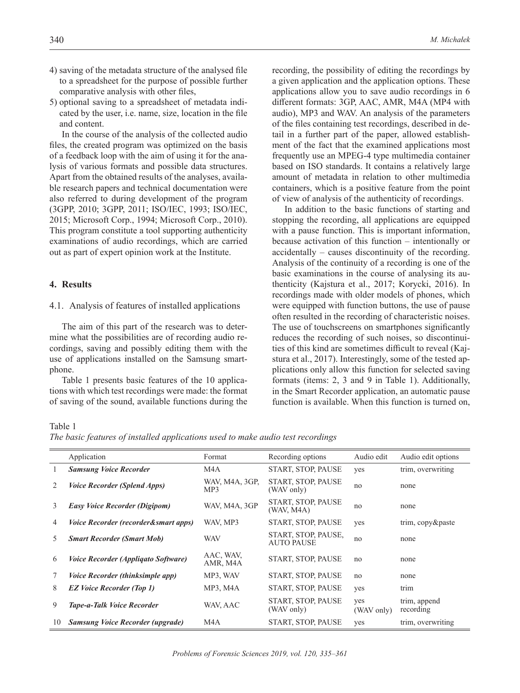- 4) saving of the metadata structure of the analysed file to a spreadsheet for the purpose of possible further comparative analysis with other files,
- 5) optional saving to a spreadsheet of metadata indicated by the user, i.e. name, size, location in the file and content.

In the course of the analysis of the collected audio files, the created program was optimized on the basis of a feedback loop with the aim of using it for the analysis of various formats and possible data structures. Apart from the obtained results of the analyses, available research papers and technical documentation were also referred to during development of the program (3GPP, 2010; 3GPP, 2011; ISO/IEC, 1993; ISO/IEC, 2015; Microsoft Corp., 1994; Microsoft Corp., 2010). This program constitute a tool supporting authenticity examinations of audio recordings, which are carried out as part of expert opinion work at the Institute.

# **4. Results**

#### 4.1. Analysis of features of installed applications

The aim of this part of the research was to determine what the possibilities are of recording audio recordings, saving and possibly editing them with the use of applications installed on the Samsung smartphone.

Table 1 presents basic features of the 10 applications with which test recordings were made: the format of saving of the sound, available functions during the

recording, the possibility of editing the recordings by a given application and the application options. These applications allow you to save audio recordings in 6 different formats: 3GP, AAC, AMR, M4A (MP4 with audio), MP3 and WAV. An analysis of the parameters of the files containing test recordings, described in detail in a further part of the paper, allowed establishment of the fact that the examined applications most frequently use an MPEG-4 type multimedia container based on ISO standards. It contains a relatively large amount of metadata in relation to other multimedia containers, which is a positive feature from the point of view of analysis of the authenticity of recordings.

In addition to the basic functions of starting and stopping the recording, all applications are equipped with a pause function. This is important information, because activation of this function – intentionally or accidentally – causes discontinuity of the recording. Analysis of the continuity of a recording is one of the basic examinations in the course of analysing its authenticity (Kajstura et al., 2017; Korycki, 2016). In recordings made with older models of phones, which were equipped with function buttons, the use of pause often resulted in the recording of characteristic noises. The use of touchscreens on smartphones significantly reduces the recording of such noises, so discontinuities of this kind are sometimes difficult to reveal (Kajstura et al., 2017). Interestingly, some of the tested applications only allow this function for selected saving formats (items: 2, 3 and 9 in Table 1). Additionally, in the Smart Recorder application, an automatic pause function is available. When this function is turned on,

Table 1

*The basic features of installed applications used to make audio test recordings*

|    | Application                                | Format                | Recording options                        | Audio edit        | Audio edit options        |
|----|--------------------------------------------|-----------------------|------------------------------------------|-------------------|---------------------------|
|    | <b>Samsung Voice Recorder</b>              | M <sub>4</sub> A      | START, STOP, PAUSE                       | yes               | trim, overwriting         |
| 2  | <i>Voice Recorder (Splend Apps)</i>        | WAV, M4A, 3GP,<br>MP3 | START, STOP, PAUSE<br>(WAV only)         | no                | none                      |
| 3  | <b>Easy Voice Recorder (Digipom)</b>       | WAV, M4A, 3GP         | START, STOP, PAUSE<br>(WAV, M4A)         | no                | none                      |
| 4  | Voice Recorder (recorder&smart apps)       | WAV, MP3              | START, STOP, PAUSE                       | yes               | trim, copy&paste          |
| 5. | <b>Smart Recorder (Smart Mob)</b>          | <b>WAV</b>            | START, STOP, PAUSE,<br><b>AUTO PAUSE</b> | no                | none                      |
| 6  | <i>Voice Recorder (Appliqato Software)</i> | AAC, WAV,<br>AMR, M4A | START, STOP, PAUSE                       | no                | none                      |
| 7  | <i>Voice Recorder (thinksimple app)</i>    | MP3, WAV              | START, STOP, PAUSE                       | no                | none                      |
| 8  | <b>EZ Voice Recorder (Top 1)</b>           | MP3, M4A              | START, STOP, PAUSE                       | yes               | trim                      |
| 9  | <b>Tape-a-Talk Voice Recorder</b>          | WAV, AAC              | START, STOP, PAUSE<br>(WAV only)         | yes<br>(WAV only) | trim, append<br>recording |
| 10 | Samsung Voice Recorder (upgrade)           | M <sub>4</sub> A      | START, STOP, PAUSE                       | yes               | trim, overwriting         |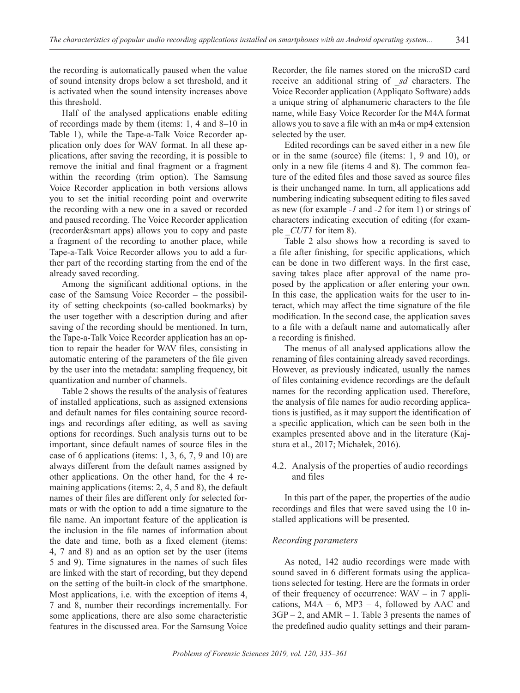the recording is automatically paused when the value of sound intensity drops below a set threshold, and it is activated when the sound intensity increases above this threshold.

Half of the analysed applications enable editing of recordings made by them (items: 1, 4 and 8–10 in Table 1), while the Tape-a-Talk Voice Recorder application only does for WAV format. In all these applications, after saving the recording, it is possible to remove the initial and final fragment or a fragment within the recording (trim option). The Samsung Voice Recorder application in both versions allows you to set the initial recording point and overwrite the recording with a new one in a saved or recorded and paused recording. The Voice Recorder application (recorder&smart apps) allows you to copy and paste a fragment of the recording to another place, while Tape-a-Talk Voice Recorder allows you to add a further part of the recording starting from the end of the already saved recording.

Among the significant additional options, in the case of the Samsung Voice Recorder – the possibility of setting checkpoints (so-called bookmarks) by the user together with a description during and after saving of the recording should be mentioned. In turn, the Tape-a-Talk Voice Recorder application has an option to repair the header for WAV files, consisting in automatic entering of the parameters of the file given by the user into the metadata: sampling frequency, bit quantization and number of channels.

Table 2 shows the results of the analysis of features of installed applications, such as assigned extensions and default names for files containing source recordings and recordings after editing, as well as saving options for recordings. Such analysis turns out to be important, since default names of source files in the case of 6 applications (items: 1, 3, 6, 7, 9 and 10) are always different from the default names assigned by other applications. On the other hand, for the 4 remaining applications (items: 2, 4, 5 and 8), the default names of their files are different only for selected formats or with the option to add a time signature to the file name. An important feature of the application is the inclusion in the file names of information about the date and time, both as a fixed element (items: 4, 7 and 8) and as an option set by the user (items 5 and 9). Time signatures in the names of such files are linked with the start of recording, but they depend on the setting of the built-in clock of the smartphone. Most applications, i.e. with the exception of items 4, 7 and 8, number their recordings incrementally. For some applications, there are also some characteristic features in the discussed area. For the Samsung Voice

Recorder, the file names stored on the microSD card receive an additional string of *\_sd* characters. The Voice Recorder application (Appliqato Software) adds a unique string of alphanumeric characters to the file name, while Easy Voice Recorder for the M4A format allows you to save a file with an m4a or mp4 extension selected by the user.

Edited recordings can be saved either in a new file or in the same (source) file (items: 1, 9 and 10), or only in a new file (items 4 and 8). The common feature of the edited files and those saved as source files is their unchanged name. In turn, all applications add numbering indicating subsequent editing to files saved as new (for example *-1* and *-2* for item 1) or strings of characters indicating execution of editing (for example *CUT1* for item 8).

Table 2 also shows how a recording is saved to a file after finishing, for specific applications, which can be done in two different ways. In the first case, saving takes place after approval of the name proposed by the application or after entering your own. In this case, the application waits for the user to interact, which may affect the time signature of the file modification. In the second case, the application saves to a file with a default name and automatically after a recording is finished.

The menus of all analysed applications allow the renaming of files containing already saved recordings. However, as previously indicated, usually the names of files containing evidence recordings are the default names for the recording application used. Therefore, the analysis of file names for audio recording applications is justified, as it may support the identification of a specific application, which can be seen both in the examples presented above and in the literature (Kajstura et al., 2017; Michałek, 2016).

# 4.2. Analysis of the properties of audio recordings and files

In this part of the paper, the properties of the audio recordings and files that were saved using the 10 installed applications will be presented.

# *Recording parameters*

As noted, 142 audio recordings were made with sound saved in 6 different formats using the applications selected for testing. Here are the formats in order of their frequency of occurrence: WAV – in 7 applications,  $MA - 6$ ,  $MP3 - 4$ , followed by  $AAC$  and 3GP – 2, and AMR – 1. Table 3 presents the names of the predefined audio quality settings and their param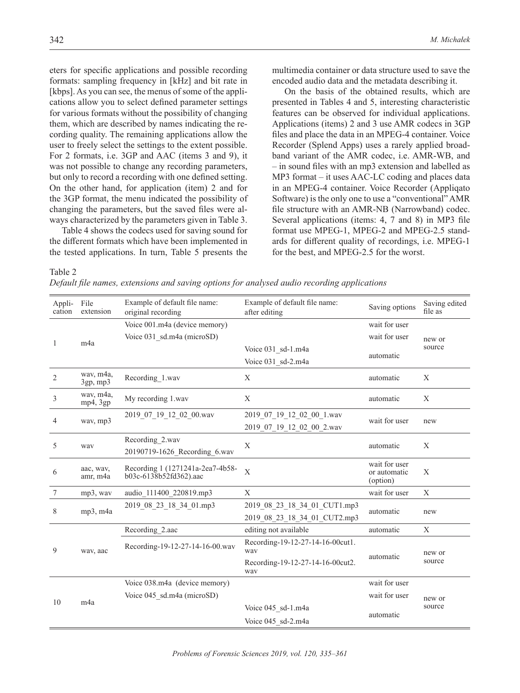eters for specific applications and possible recording formats: sampling frequency in [kHz] and bit rate in [kbps]. As you can see, the menus of some of the applications allow you to select defined parameter settings for various formats without the possibility of changing them, which are described by names indicating the recording quality. The remaining applications allow the user to freely select the settings to the extent possible. For 2 formats, i.e. 3GP and AAC (items 3 and 9), it was not possible to change any recording parameters, but only to record a recording with one defined setting. On the other hand, for application (item) 2 and for the 3GP format, the menu indicated the possibility of changing the parameters, but the saved files were always characterized by the parameters given in Table 3.

Table 4 shows the codecs used for saving sound for the different formats which have been implemented in the tested applications. In turn, Table 5 presents the

multimedia container or data structure used to save the encoded audio data and the metadata describing it.

On the basis of the obtained results, which are presented in Tables 4 and 5, interesting characteristic features can be observed for individual applications. Applications (items) 2 and 3 use AMR codecs in 3GP files and place the data in an MPEG-4 container. Voice Recorder (Splend Apps) uses a rarely applied broadband variant of the AMR codec, i.e. AMR-WB, and – in sound files with an mp3 extension and labelled as MP3 format – it uses AAC-LC coding and places data in an MPEG-4 container. Voice Recorder (Appliqato Software) is the only one to use a "conventional" AMR file structure with an AMR-NB (Narrowband) codec. Several applications (items: 4, 7 and 8) in MP3 file format use MPEG-1, MPEG-2 and MPEG-2.5 standards for different quality of recordings, i.e. MPEG-1 for the best, and MPEG-2.5 for the worst.

Table 2 *Default file names, extensions and saving options for analysed audio recording applications*

| Appli-<br>cation | File<br>extension           | Example of default file name:<br>original recording        | Example of default file name:<br>after editing | Saving options                            | Saving edited<br>file as |
|------------------|-----------------------------|------------------------------------------------------------|------------------------------------------------|-------------------------------------------|--------------------------|
|                  |                             | Voice 001.m4a (device memory)                              |                                                | wait for user                             |                          |
| 1                | m <sub>4a</sub>             | Voice 031 sd.m4a (microSD)                                 |                                                | wait for user                             | new or                   |
|                  |                             |                                                            | Voice 031 sd-1.m4a                             | automatic                                 | source                   |
|                  |                             |                                                            | Voice 031 sd-2.m4a                             |                                           |                          |
| $\overline{2}$   | wav, m4a,<br>$3gp$ , mp $3$ | Recording_1.wav                                            | X                                              | automatic                                 | X                        |
| $\mathfrak{Z}$   | way, m4a,<br>mp4, 3gp       | My recording 1.wav                                         | X                                              | automatic                                 | X                        |
|                  |                             | 2019 07 19 12 02 00.wav                                    | 2019_07_19_12_02_00_1.wav                      | wait for user                             |                          |
| 4<br>way, mp3    |                             |                                                            | 2019 07 19 12 02 00 2.wav                      |                                           | new                      |
| 5                | way                         | Recording 2.wav                                            | X                                              | automatic                                 | X                        |
|                  |                             | 20190719-1626_Recording_6.wav                              |                                                |                                           |                          |
| 6                | aac, wav,<br>amr, m4a       | Recording 1 (1271241a-2ea7-4b58-<br>b03c-6138b52fd362).aac | $\mathbf{X}$                                   | wait for user<br>or automatic<br>(option) | $\mathbf X$              |
| $\boldsymbol{7}$ | $mp3$ , way                 | audio 111400 220819.mp3                                    | X                                              | wait for user                             | X                        |
| 8                | mp3, m4a                    | 2019 08 23 18 34 01.mp3                                    | 2019 08 23 18 34 01 CUT1.mp3                   | automatic                                 |                          |
|                  |                             |                                                            | 2019 08 23 18 34 01 CUT2.mp3                   |                                           | new                      |
|                  |                             | Recording 2.aac                                            | editing not available                          | automatic                                 | X                        |
| 9                | wav, aac                    | Recording-19-12-27-14-16-00.wav                            | Recording-19-12-27-14-16-00cut1.<br>way        |                                           |                          |
|                  |                             |                                                            | Recording-19-12-27-14-16-00cut2.<br>way        | automatic                                 | new or<br>source         |
|                  |                             | Voice 038.m4a (device memory)                              |                                                | wait for user                             |                          |
| 10               | m <sub>4a</sub>             | Voice 045 sd.m4a (microSD)                                 |                                                | wait for user                             | new or                   |
|                  |                             |                                                            | Voice 045 sd-1.m4a                             | automatic                                 | source                   |
|                  |                             |                                                            | Voice 045 sd-2.m4a                             |                                           |                          |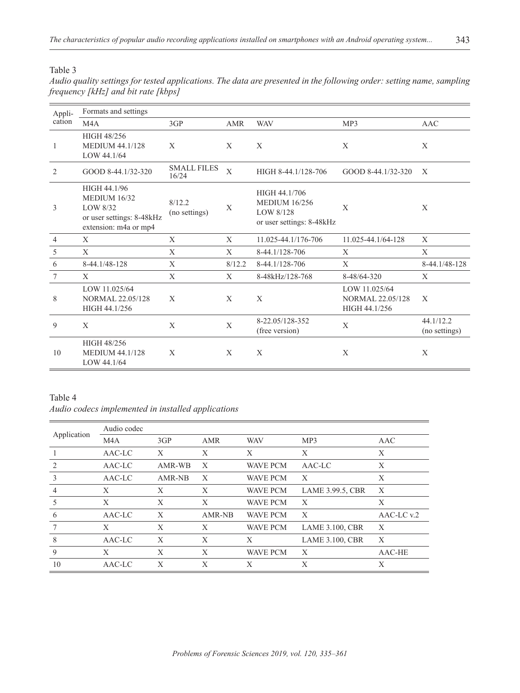Table 3

| Audio quality settings for tested applications. The data are presented in the following order: setting name, sampling |  |  |
|-----------------------------------------------------------------------------------------------------------------------|--|--|
| frequency [kHz] and bit rate [kbps]                                                                                   |  |  |

| Appli-         | Formats and settings                                                                                  |                             |              |                                                                                 |                                                           |                            |  |  |  |
|----------------|-------------------------------------------------------------------------------------------------------|-----------------------------|--------------|---------------------------------------------------------------------------------|-----------------------------------------------------------|----------------------------|--|--|--|
| cation         | M <sub>4</sub> A                                                                                      | 3GP                         | <b>AMR</b>   | <b>WAV</b>                                                                      | MP3                                                       | <b>AAC</b>                 |  |  |  |
| 1              | HIGH 48/256<br><b>MEDIUM 44.1/128</b><br>LOW 44.1/64                                                  | X                           | X            | X                                                                               | X                                                         | X                          |  |  |  |
| 2              | GOOD 8-44.1/32-320                                                                                    | <b>SMALL FILES</b><br>16/24 | $\mathbf{X}$ | HIGH 8-44.1/128-706                                                             | GOOD 8-44.1/32-320                                        | X                          |  |  |  |
| 3              | HIGH 44.1/96<br><b>MEDIUM 16/32</b><br>LOW 8/32<br>or user settings: 8-48kHz<br>extension: m4a or mp4 | 8/12.2<br>(no settings)     | X            | HIGH 44.1/706<br><b>MEDIUM 16/256</b><br>LOW 8/128<br>or user settings: 8-48kHz | X                                                         | X                          |  |  |  |
| $\overline{4}$ | X                                                                                                     | X                           | X            | 11.025-44.1/176-706                                                             | 11.025-44.1/64-128                                        | X                          |  |  |  |
| 5              | X                                                                                                     | X                           | X            | 8-44.1/128-706                                                                  | X                                                         | X                          |  |  |  |
| 6              | 8-44.1/48-128                                                                                         | X                           | 8/12.2       | 8-44.1/128-706                                                                  | X                                                         | 8-44.1/48-128              |  |  |  |
| 7              | X                                                                                                     | X                           | X            | 8-48kHz/128-768                                                                 | 8-48/64-320                                               | X                          |  |  |  |
| 8              | LOW 11.025/64<br><b>NORMAL 22.05/128</b><br>HIGH 44.1/256                                             | X                           | X            | X                                                                               | LOW 11.025/64<br><b>NORMAL 22.05/128</b><br>HIGH 44.1/256 | X                          |  |  |  |
| 9              | X                                                                                                     | X                           | X            | 8-22.05/128-352<br>(free version)                                               | X                                                         | 44.1/12.2<br>(no settings) |  |  |  |
| 10             | HIGH 48/256<br><b>MEDIUM 44.1/128</b><br>LOW 44.1/64                                                  | X                           | X            | X                                                                               | X                                                         | X                          |  |  |  |

# Table 4 *Audio codecs implemented in installed applications*

|             | Audio codec |        |        |                 |                        |            |
|-------------|-------------|--------|--------|-----------------|------------------------|------------|
| Application | M4A         | 3GP    | AMR    | <b>WAV</b>      | MP3                    | AAC        |
|             | AAC-LC      | X      | X      | X               | X                      | X          |
|             | AAC-LC      | AMR-WB | X      | <b>WAVE PCM</b> | AAC-LC                 | X          |
| 3           | AAC-LC      | AMR-NB | X      | <b>WAVE PCM</b> | X                      | X          |
| 4           | X           | X      | X      | <b>WAVE PCM</b> | LAME 3.99.5, CBR       | X          |
| 5           | X           | X      | X      | <b>WAVE PCM</b> | $\mathbf{X}$           | X          |
| 6           | AAC-LC      | X      | AMR-NB | <b>WAVE PCM</b> | $\mathbf{X}$           | AAC-LC v.2 |
|             | X           | X      | X      | <b>WAVE PCM</b> | <b>LAME 3.100, CBR</b> | X          |
| 8           | AAC-LC      | X      | X      | X               | <b>LAME 3.100, CBR</b> | X          |
| 9           | X           | X      | X      | <b>WAVE PCM</b> | $\mathbf{X}$           | AAC-HE     |
| 10          | AAC-LC      | X      | X      | X               | X                      | X          |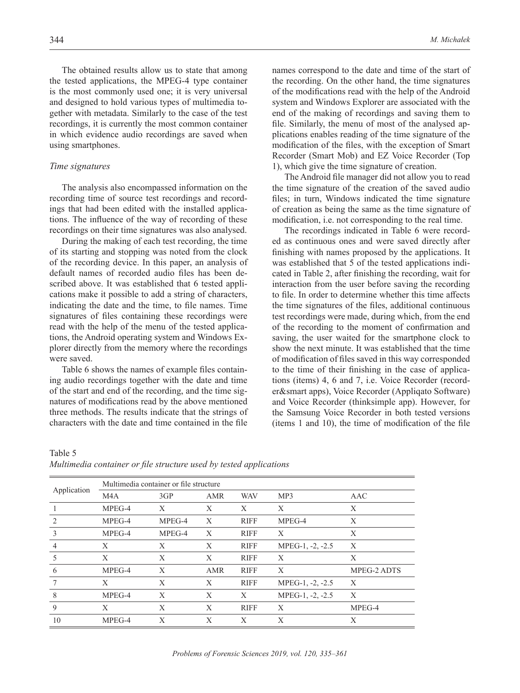The obtained results allow us to state that among the tested applications, the MPEG-4 type container is the most commonly used one; it is very universal and designed to hold various types of multimedia together with metadata. Similarly to the case of the test recordings, it is currently the most common container in which evidence audio recordings are saved when using smartphones.

#### *Time signatures*

The analysis also encompassed information on the recording time of source test recordings and recordings that had been edited with the installed applications. The influence of the way of recording of these recordings on their time signatures was also analysed.

During the making of each test recording, the time of its starting and stopping was noted from the clock of the recording device. In this paper, an analysis of default names of recorded audio files has been described above. It was established that 6 tested applications make it possible to add a string of characters, indicating the date and the time, to file names. Time signatures of files containing these recordings were read with the help of the menu of the tested applications, the Android operating system and Windows Explorer directly from the memory where the recordings were saved.

Table 6 shows the names of example files containing audio recordings together with the date and time of the start and end of the recording, and the time signatures of modifications read by the above mentioned three methods. The results indicate that the strings of characters with the date and time contained in the file

names correspond to the date and time of the start of the recording. On the other hand, the time signatures of the modifications read with the help of the Android system and Windows Explorer are associated with the end of the making of recordings and saving them to file. Similarly, the menu of most of the analysed applications enables reading of the time signature of the modification of the files, with the exception of Smart Recorder (Smart Mob) and EZ Voice Recorder (Top 1), which give the time signature of creation.

The Android file manager did not allow you to read the time signature of the creation of the saved audio files; in turn, Windows indicated the time signature of creation as being the same as the time signature of modification, i.e. not corresponding to the real time.

The recordings indicated in Table 6 were recorded as continuous ones and were saved directly after finishing with names proposed by the applications. It was established that 5 of the tested applications indicated in Table 2, after finishing the recording, wait for interaction from the user before saving the recording to file. In order to determine whether this time affects the time signatures of the files, additional continuous test recordings were made, during which, from the end of the recording to the moment of confirmation and saving, the user waited for the smartphone clock to show the next minute. It was established that the time of modification of files saved in this way corresponded to the time of their finishing in the case of applications (items) 4, 6 and 7, i.e. Voice Recorder (recorder&smart apps), Voice Recorder (Appliqato Software) and Voice Recorder (thinksimple app). However, for the Samsung Voice Recorder in both tested versions (items 1 and 10), the time of modification of the file

| Table 5                                                            |  |  |
|--------------------------------------------------------------------|--|--|
| Multimedia container or file structure used by tested applications |  |  |

|             | Multimedia container or file structure |        |              |             |                  |             |
|-------------|----------------------------------------|--------|--------------|-------------|------------------|-------------|
| Application | M <sub>4</sub> A                       | 3GP    | <b>AMR</b>   | <b>WAV</b>  | MP3              | AAC         |
|             | MPEG-4                                 | X      | X            | X           | X                | X           |
| 2           | MPEG-4                                 | MPEG-4 | X            | <b>RIFF</b> | MPEG-4           | X           |
| 3           | MPEG-4                                 | MPEG-4 | X            | <b>RIFF</b> | X                | X           |
| 4           | X                                      | X      | X            | <b>RIFF</b> | MPEG-1, -2, -2.5 | X           |
| 5           | X                                      | X      | X            | <b>RIFF</b> | X                | X           |
| 6           | MPEG-4                                 | X      | <b>AMR</b>   | <b>RIFF</b> | X                | MPEG-2 ADTS |
|             | X                                      | X      | X            | <b>RIFF</b> | MPEG-1, -2, -2.5 | X           |
| 8           | MPEG-4                                 | X      | X            | X           | MPEG-1, -2, -2.5 | X           |
| 9           | X                                      | X      | X            | <b>RIFF</b> | X                | MPEG-4      |
| 10          | MPEG-4                                 | X      | $\mathbf{X}$ | X           | X                | X           |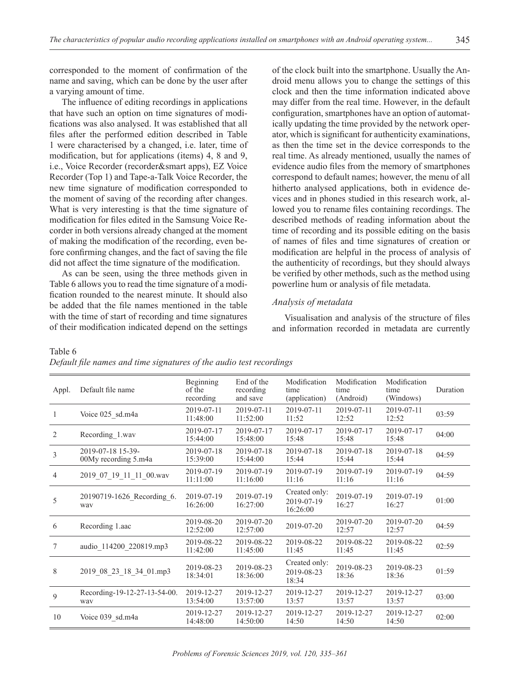corresponded to the moment of confirmation of the name and saving, which can be done by the user after a varying amount of time.

The influence of editing recordings in applications that have such an option on time signatures of modifications was also analysed. It was established that all files after the performed edition described in Table 1 were characterised by a changed, i.e. later, time of modification, but for applications (items) 4, 8 and 9, i.e., Voice Recorder (recorder&smart apps), EZ Voice Recorder (Top 1) and Tape-a-Talk Voice Recorder, the new time signature of modification corresponded to the moment of saving of the recording after changes. What is very interesting is that the time signature of modification for files edited in the Samsung Voice Recorder in both versions already changed at the moment of making the modification of the recording, even before confirming changes, and the fact of saving the file did not affect the time signature of the modification.

As can be seen, using the three methods given in Table 6 allows you to read the time signature of a modification rounded to the nearest minute. It should also be added that the file names mentioned in the table with the time of start of recording and time signatures of their modification indicated depend on the settings

of the clock built into the smartphone. Usually the Android menu allows you to change the settings of this clock and then the time information indicated above may differ from the real time. However, in the default configuration, smartphones have an option of automatically updating the time provided by the network operator, which is significant for authenticity examinations, as then the time set in the device corresponds to the real time. As already mentioned, usually the names of evidence audio files from the memory of smartphones correspond to default names; however, the menu of all hitherto analysed applications, both in evidence devices and in phones studied in this research work, allowed you to rename files containing recordings. The described methods of reading information about the time of recording and its possible editing on the basis of names of files and time signatures of creation or modification are helpful in the process of analysis of the authenticity of recordings, but they should always be verified by other methods, such as the method using powerline hum or analysis of file metadata.

### *Analysis of metadata*

Visualisation and analysis of the structure of files and information recorded in metadata are currently

#### Table 6

|  | Default file names and time signatures of the audio test recordings |  |  |  |  |  |
|--|---------------------------------------------------------------------|--|--|--|--|--|
|--|---------------------------------------------------------------------|--|--|--|--|--|

| Appl. | Default file name                         | Beginning<br>of the<br>recording | End of the<br>recording<br>and save | Modification<br>time<br>(application)   | Modification<br>time<br>(Android) | Modification<br>time<br>(Windows) | Duration |
|-------|-------------------------------------------|----------------------------------|-------------------------------------|-----------------------------------------|-----------------------------------|-----------------------------------|----------|
| 1     | Voice 025 sd.m4a                          | 2019-07-11<br>11:48:00           | 2019-07-11<br>11:52:00              | 2019-07-11<br>11:52                     | 2019-07-11<br>12:52               | 2019-07-11<br>12:52               | 03:59    |
| 2     | Recording 1.wav                           | 2019-07-17<br>15:44:00           | 2019-07-17<br>15:48:00              | 2019-07-17<br>15:48                     | 2019-07-17<br>15:48               | 2019-07-17<br>15:48               | 04:00    |
| 3     | 2019-07-18 15-39-<br>00My recording 5.m4a | 2019-07-18<br>15:39:00           | 2019-07-18<br>15:44:00              | 2019-07-18<br>15:44                     | 2019-07-18<br>15:44               | 2019-07-18<br>15:44               | 04:59    |
| 4     | 2019 07 19 11 11 00.wav                   | 2019-07-19<br>11:11:00           | 2019-07-19<br>11:16:00              | 2019-07-19<br>11:16                     | 2019-07-19<br>11:16               | 2019-07-19<br>11:16               | 04:59    |
| 5     | 20190719-1626 Recording 6.<br>way         | 2019-07-19<br>16:26:00           | 2019-07-19<br>16:27:00              | Created only:<br>2019-07-19<br>16:26:00 | 2019-07-19<br>16:27               | 2019-07-19<br>16:27               | 01:00    |
| 6     | Recording 1.aac                           | 2019-08-20<br>12:52:00           | 2019-07-20<br>12:57:00              | 2019-07-20                              | 2019-07-20<br>12:57               | 2019-07-20<br>12:57               | 04:59    |
| 7     | audio 114200 220819.mp3                   | 2019-08-22<br>11:42:00           | 2019-08-22<br>11:45:00              | 2019-08-22<br>11:45                     | 2019-08-22<br>11:45               | 2019-08-22<br>11:45               | 02:59    |
| 8     | 2019 08 23 18 34 01.mp3                   | 2019-08-23<br>18:34:01           | 2019-08-23<br>18:36:00              | Created only:<br>2019-08-23<br>18:34    | 2019-08-23<br>18:36               | 2019-08-23<br>18:36               | 01:59    |
| 9     | Recording-19-12-27-13-54-00.<br>way       | 2019-12-27<br>13:54:00           | 2019-12-27<br>13:57:00              | 2019-12-27<br>13:57                     | 2019-12-27<br>13:57               | 2019-12-27<br>13:57               | 03:00    |
| 10    | Voice 039 sd.m4a                          | 2019-12-27<br>14:48:00           | 2019-12-27<br>14:50:00              | 2019-12-27<br>14:50                     | 2019-12-27<br>14:50               | 2019-12-27<br>14:50               | 02:00    |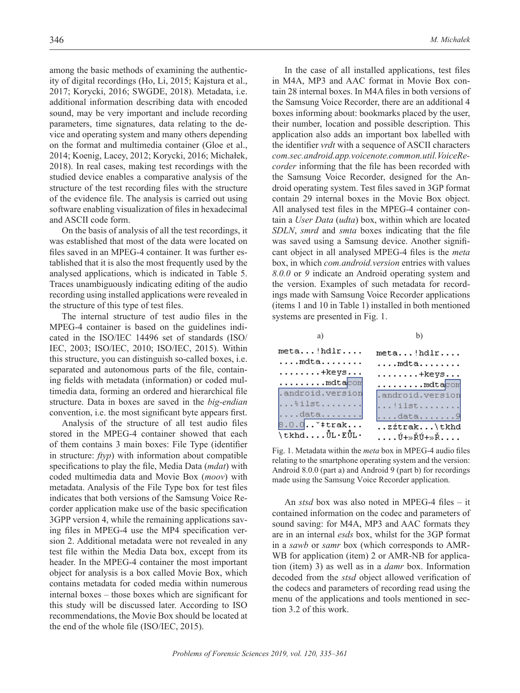among the basic methods of examining the authenticity of digital recordings (Ho, Li, 2015; Kajstura et al., 2017; Korycki, 2016; SWGDE, 2018). Metadata, i.e. additional information describing data with encoded sound, may be very important and include recording parameters, time signatures, data relating to the device and operating system and many others depending on the format and multimedia container (Gloe et al., 2014; Koenig, Lacey, 2012; Korycki, 2016; Michałek, 2018). In real cases, making test recordings with the studied device enables a comparative analysis of the structure of the test recording files with the structure of the evidence file. The analysis is carried out using software enabling visualization of files in hexadecimal and ASCII code form.

On the basis of analysis of all the test recordings, it was established that most of the data were located on files saved in an MPEG-4 container. It was further established that it is also the most frequently used by the analysed applications, which is indicated in Table 5. Traces unambiguously indicating editing of the audio recording using installed applications were revealed in the structure of this type of test files.

The internal structure of test audio files in the MPEG-4 container is based on the guidelines indicated in the ISO/IEC 14496 set of standards (ISO/ IEC, 2003; ISO/IEC, 2010; ISO/IEC, 2015). Within this structure, you can distinguish so-called boxes, i.e. separated and autonomous parts of the file, containing fields with metadata (information) or coded multimedia data, forming an ordered and hierarchical file structure. Data in boxes are saved in the *big-endian* convention, i.e. the most significant byte appears first.

Analysis of the structure of all test audio files stored in the MPEG-4 container showed that each of them contains 3 main boxes: File Type (identifier in structure: *ftyp*) with information about compatible specifications to play the file, Media Data (*mdat*) with coded multimedia data and Movie Box (*moov*) with metadata. Analysis of the File Type box for test files indicates that both versions of the Samsung Voice Recorder application make use of the basic specification 3GPP version 4, while the remaining applications saving files in MPEG-4 use the MP4 specification version 2. Additional metadata were not revealed in any test file within the Media Data box, except from its header. In the MPEG-4 container the most important object for analysis is a box called Movie Box, which contains metadata for coded media within numerous internal boxes – those boxes which are significant for this study will be discussed later. According to ISO recommendations, the Movie Box should be located at the end of the whole file (ISO/IEC, 2015).

In the case of all installed applications, test files in M4A, MP3 and AAC format in Movie Box contain 28 internal boxes. In M4A files in both versions of the Samsung Voice Recorder, there are an additional 4 boxes informing about: bookmarks placed by the user, their number, location and possible description. This application also adds an important box labelled with the identifier *vrdt* with a sequence of ASCII characters *com.sec.android.app.voicenote.common.util.VoiceRecorder* informing that the file has been recorded with the Samsung Voice Recorder, designed for the Android operating system. Test files saved in 3GP format contain 29 internal boxes in the Movie Box object. All analysed test files in the MPEG-4 container contain a *User Data* (*udta*) box, within which are located *SDLN*, *smrd* and *smta* boxes indicating that the file was saved using a Samsung device. Another significant object in all analysed MPEG-4 files is the *meta* box, in which *com.android.version* entries with values *8.0.0* or *9* indicate an Android operating system and the version. Examples of such metadata for recordings made with Samsung Voice Recorder applications (items 1 and 10 in Table 1) installed in both mentioned systems are presented in Fig. 1.



Fig. 1. Metadata within the *meta* box in MPEG-4 audio files relating to the smartphone operating system and the version: Android 8.0.0 (part a) and Android 9 (part b) for recordings made using the Samsung Voice Recorder application.

An *stsd* box was also noted in MPEG-4 files – it contained information on the codec and parameters of sound saving: for M4A, MP3 and AAC formats they are in an internal *esds* box, whilst for the 3GP format in a *sawb* or *samr* box (which corresponds to AMR-WB for application (item) 2 or AMR-NB for application (item) 3) as well as in a *damr* box. Information decoded from the *stsd* object allowed verification of the codecs and parameters of recording read using the menu of the applications and tools mentioned in section 3.2 of this work.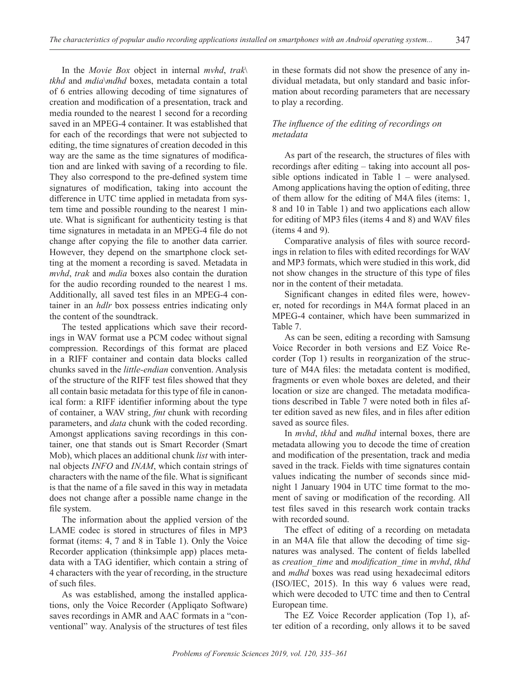In the *Movie Box* object in internal *mvhd*, *trak*\ *tkhd* and *mdia*\*mdhd* boxes, metadata contain a total of 6 entries allowing decoding of time signatures of creation and modification of a presentation, track and media rounded to the nearest 1 second for a recording saved in an MPEG-4 container. It was established that for each of the recordings that were not subjected to editing, the time signatures of creation decoded in this way are the same as the time signatures of modification and are linked with saving of a recording to file. They also correspond to the pre-defined system time signatures of modification, taking into account the difference in UTC time applied in metadata from system time and possible rounding to the nearest 1 minute. What is significant for authenticity testing is that time signatures in metadata in an MPEG-4 file do not change after copying the file to another data carrier. However, they depend on the smartphone clock setting at the moment a recording is saved. Metadata in *mvhd*, *trak* and *mdia* boxes also contain the duration for the audio recording rounded to the nearest 1 ms. Additionally, all saved test files in an MPEG-4 container in an *hdlr* box possess entries indicating only the content of the soundtrack.

The tested applications which save their recordings in WAV format use a PCM codec without signal compression. Recordings of this format are placed in a RIFF container and contain data blocks called chunks saved in the *little-endian* convention. Analysis of the structure of the RIFF test files showed that they all contain basic metadata for this type of file in canonical form: a RIFF identifier informing about the type of container, a WAV string, *fmt* chunk with recording parameters, and *data* chunk with the coded recording. Amongst applications saving recordings in this container, one that stands out is Smart Recorder (Smart Mob), which places an additional chunk *list* with internal objects *INFO* and *INAM*, which contain strings of characters with the name of the file. What is significant is that the name of a file saved in this way in metadata does not change after a possible name change in the file system.

The information about the applied version of the LAME codec is stored in structures of files in MP3 format (items: 4, 7 and 8 in Table 1). Only the Voice Recorder application (thinksimple app) places metadata with a TAG identifier, which contain a string of 4 characters with the year of recording, in the structure of such files.

As was established, among the installed applications, only the Voice Recorder (Appliqato Software) saves recordings in AMR and AAC formats in a "conventional" way. Analysis of the structures of test files

in these formats did not show the presence of any individual metadata, but only standard and basic information about recording parameters that are necessary to play a recording.

# *The influence of the editing of recordings on metadata*

As part of the research, the structures of files with recordings after editing – taking into account all possible options indicated in Table 1 – were analysed. Among applications having the option of editing, three of them allow for the editing of M4A files (items: 1, 8 and 10 in Table 1) and two applications each allow for editing of MP3 files (items 4 and 8) and WAV files (items 4 and 9).

Comparative analysis of files with source recordings in relation to files with edited recordings for WAV and MP3 formats, which were studied in this work, did not show changes in the structure of this type of files nor in the content of their metadata.

Significant changes in edited files were, however, noted for recordings in M4A format placed in an MPEG-4 container, which have been summarized in Table 7.

As can be seen, editing a recording with Samsung Voice Recorder in both versions and EZ Voice Recorder (Top 1) results in reorganization of the structure of M4A files: the metadata content is modified, fragments or even whole boxes are deleted, and their location or size are changed. The metadata modifications described in Table 7 were noted both in files after edition saved as new files, and in files after edition saved as source files.

In *mvhd*, *tkhd* and *mdhd* internal boxes, there are metadata allowing you to decode the time of creation and modification of the presentation, track and media saved in the track. Fields with time signatures contain values indicating the number of seconds since midnight 1 January 1904 in UTC time format to the moment of saving or modification of the recording. All test files saved in this research work contain tracks with recorded sound.

The effect of editing of a recording on metadata in an M4A file that allow the decoding of time signatures was analysed. The content of fields labelled as *creation\_time* and *modification\_time* in *mvhd*, *tkhd* and *mdhd* boxes was read using hexadecimal editors (ISO/IEC, 2015). In this way 6 values were read, which were decoded to UTC time and then to Central European time.

The EZ Voice Recorder application (Top 1), after edition of a recording, only allows it to be saved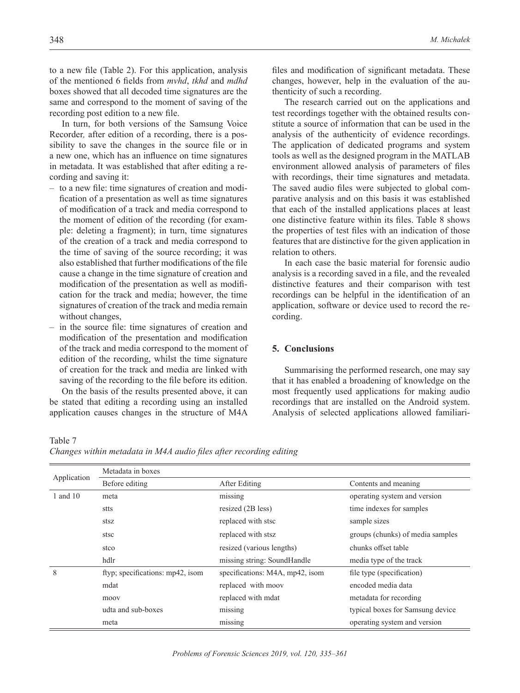to a new file (Table 2). For this application, analysis of the mentioned 6 fields from *mvhd*, *tkhd* and *mdhd* boxes showed that all decoded time signatures are the same and correspond to the moment of saving of the recording post edition to a new file.

In turn, for both versions of the Samsung Voice Recorder*,* after edition of a recording, there is a possibility to save the changes in the source file or in a new one, which has an influence on time signatures in metadata. It was established that after editing a recording and saving it:

- to a new file: time signatures of creation and modification of a presentation as well as time signatures of modification of a track and media correspond to the moment of edition of the recording (for example: deleting a fragment); in turn, time signatures of the creation of a track and media correspond to the time of saving of the source recording; it was also established that further modifications of the file cause a change in the time signature of creation and modification of the presentation as well as modification for the track and media; however, the time signatures of creation of the track and media remain without changes,
- in the source file: time signatures of creation and modification of the presentation and modification of the track and media correspond to the moment of edition of the recording, whilst the time signature of creation for the track and media are linked with saving of the recording to the file before its edition. On the basis of the results presented above, it can

be stated that editing a recording using an installed application causes changes in the structure of M4A files and modification of significant metadata. These changes, however, help in the evaluation of the authenticity of such a recording.

The research carried out on the applications and test recordings together with the obtained results constitute a source of information that can be used in the analysis of the authenticity of evidence recordings. The application of dedicated programs and system tools as well as the designed program in the MATLAB environment allowed analysis of parameters of files with recordings, their time signatures and metadata. The saved audio files were subjected to global comparative analysis and on this basis it was established that each of the installed applications places at least one distinctive feature within its files. Table 8 shows the properties of test files with an indication of those features that are distinctive for the given application in relation to others.

In each case the basic material for forensic audio analysis is a recording saved in a file, and the revealed distinctive features and their comparison with test recordings can be helpful in the identification of an application, software or device used to record the recording.

# **5. Conclusions**

Summarising the performed research, one may say that it has enabled a broadening of knowledge on the most frequently used applications for making audio recordings that are installed on the Android system. Analysis of selected applications allowed familiari-

Table 7

| Changes within metadata in M4A audio files after recording editing |  |  |  |  |
|--------------------------------------------------------------------|--|--|--|--|
|                                                                    |  |  |  |  |

|             | Metadata in boxes                |                                 |                                  |  |
|-------------|----------------------------------|---------------------------------|----------------------------------|--|
| Application | Before editing                   | After Editing                   | Contents and meaning             |  |
| 1 and 10    | meta                             | missing                         | operating system and version     |  |
|             | stts                             | resized (2B less)               | time indexes for samples         |  |
|             | stsz                             | replaced with stsc              | sample sizes                     |  |
| stsc        |                                  | replaced with stsz              | groups (chunks) of media samples |  |
|             | stco                             | resized (various lengths)       | chunks offset table              |  |
|             | hdlr                             | missing string: SoundHandle     | media type of the track          |  |
| 8           | ftyp; specifications: mp42, isom | specifications: M4A, mp42, isom | file type (specification)        |  |
|             | mdat                             | replaced with moov              | encoded media data               |  |
| moov        |                                  | replaced with mdat              | metadata for recording           |  |
|             | udta and sub-boxes               | missing                         | typical boxes for Samsung device |  |
|             | meta                             | missing                         | operating system and version     |  |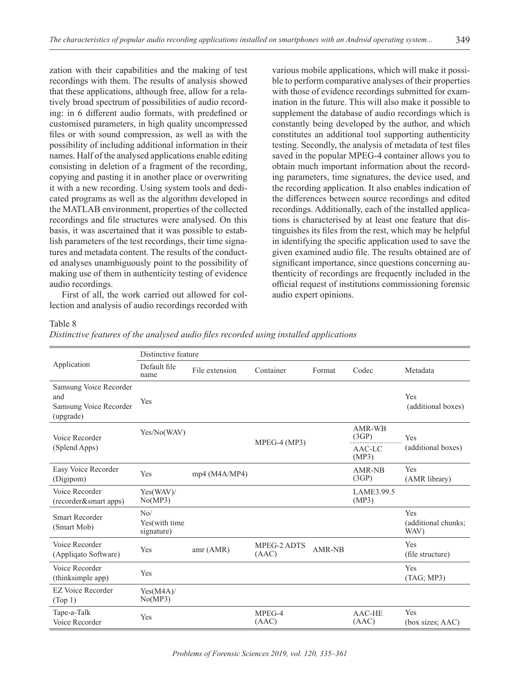zation with their capabilities and the making of test recordings with them. The results of analysis showed that these applications, although free, allow for a relatively broad spectrum of possibilities of audio recording: in 6 different audio formats, with predefined or customised parameters, in high quality uncompressed files or with sound compression, as well as with the possibility of including additional information in their names. Half of the analysed applications enable editing consisting in deletion of a fragment of the recording,

copying and pasting it in another place or overwriting it with a new recording. Using system tools and dedicated programs as well as the algorithm developed in the MATLAB environment, properties of the collected recordings and file structures were analysed. On this basis, it was ascertained that it was possible to establish parameters of the test recordings, their time signatures and metadata content. The results of the conducted analyses unambiguously point to the possibility of making use of them in authenticity testing of evidence audio recordings.

First of all, the work carried out allowed for collection and analysis of audio recordings recorded with various mobile applications, which will make it possible to perform comparative analyses of their properties with those of evidence recordings submitted for examination in the future. This will also make it possible to supplement the database of audio recordings which is constantly being developed by the author, and which constitutes an additional tool supporting authenticity testing. Secondly, the analysis of metadata of test files saved in the popular MPEG-4 container allows you to obtain much important information about the recording parameters, time signatures, the device used, and the recording application. It also enables indication of the differences between source recordings and edited recordings. Additionally, each of the installed applications is characterised by at least one feature that distinguishes its files from the rest, which may be helpful in identifying the specific application used to save the given examined audio file. The results obtained are of significant importance, since questions concerning authenticity of recordings are frequently included in the official request of institutions commissioning forensic audio expert opinions.

## Table 8

*Distinctive features of the analysed audio files recorded using installed applications*

|                                                                      |                                               | Distinctive feature |                      |               |                     |                                    |  |  |  |
|----------------------------------------------------------------------|-----------------------------------------------|---------------------|----------------------|---------------|---------------------|------------------------------------|--|--|--|
| Application                                                          | Default file<br>name                          | File extension      | Container            | Format        | Codec               | Metadata                           |  |  |  |
| Samsung Voice Recorder<br>and<br>Samsung Voice Recorder<br>(upgrade) | Yes                                           |                     |                      |               |                     | Yes<br>(additional boxes)          |  |  |  |
| Voice Recorder                                                       | Yes/No(WAV)                                   |                     | MPEG-4 (MP3)         |               | AMR-WB<br>(3GP)     | Yes                                |  |  |  |
| (Splend Apps)                                                        |                                               |                     |                      |               | AAC-LC<br>(MP3)     | (additional boxes)                 |  |  |  |
| Easy Voice Recorder<br>(Digipom)                                     | Yes                                           | mp4 (MA/MP4)        |                      |               | AMR-NB<br>(3GP)     | <b>Yes</b><br>(AMR library)        |  |  |  |
| Voice Recorder<br>(recorder&smart apps)                              | Yes(WAV)/<br>No(MP3)                          |                     |                      |               | LAME3.99.5<br>(MP3) |                                    |  |  |  |
| <b>Smart Recorder</b><br>(Smart Mob)                                 | N <sub>0</sub><br>Yes(with time<br>signature) |                     |                      |               |                     | Yes<br>(additional chunks;<br>WAV) |  |  |  |
| Voice Recorder<br>(Appliqato Software)                               | Yes                                           | amr (AMR)           | MPEG-2 ADTS<br>(AAC) | <b>AMR-NB</b> |                     | Yes<br>(file structure)            |  |  |  |
| Voice Recorder<br>(thinksimple app)                                  | Yes                                           |                     |                      |               |                     | Yes<br>(TAG; MP3)                  |  |  |  |
| <b>EZ Voice Recorder</b><br>(Top 1)                                  | Yes(M4A)<br>No(MP3)                           |                     |                      |               |                     |                                    |  |  |  |
| Tape-a-Talk<br>Voice Recorder                                        | Yes                                           |                     | MPEG-4<br>(AAC)      |               | AAC-HE<br>(AAC)     | Yes<br>(box sizes; AAC)            |  |  |  |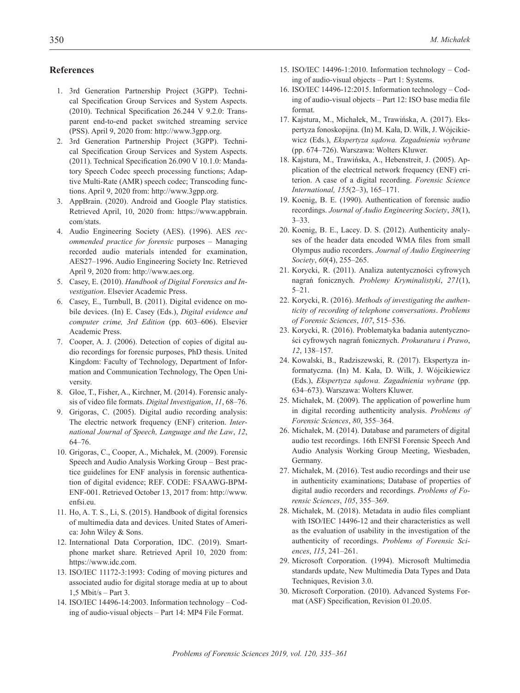# **References**

- 1. 3rd Generation Partnership Project (3GPP). Technical Specification Group Services and System Aspects. (2010). Technical Specification 26.244 V 9.2.0: Transparent end-to-end packet switched streaming service (PSS). April 9, 2020 from: http://www.3gpp.org.
- 2. 3rd Generation Partnership Project (3GPP). Technical Specification Group Services and System Aspects. (2011). Technical Specification 26.090 V 10.1.0: Mandatory Speech Codec speech processing functions; Adaptive Multi-Rate (AMR) speech codec; Transcoding functions. April 9, 2020 from: http://www.3gpp.org.
- 3. AppBrain. (2020). Android and Google Play statistics. Retrieved April, 10, 2020 from: https://www.appbrain. com/stats.
- 4. Audio Engineering Society (AES). (1996). AES *recommended practice for forensic* purposes – Managing recorded audio materials intended for examination, AES27–1996. Audio Engineering Society Inc. Retrieved April 9, 2020 from: http://www.aes.org.
- 5. Casey, E. (2010). *Handbook of Digital Forensics and Investigation*. Elsevier Academic Press.
- 6. Casey, E., Turnbull, B. (2011). Digital evidence on mobile devices. (In) E. Casey (Eds.), *Digital evidence and computer crime, 3rd Edition* (pp. 603–606). Elsevier Academic Press.
- 7. Cooper, A. J. (2006). Detection of copies of digital audio recordings for forensic purposes, PhD thesis. United Kingdom: Faculty of Technology, Department of Information and Communication Technology, The Open University.
- 8. Gloe, T., Fisher, A., Kirchner, M. (2014). Forensic analysis of video file formats. *Digital Investigation*, *11*, 68–76.
- 9. Grigoras, C. (2005). Digital audio recording analysis: The electric network frequency (ENF) criterion. *International Journal of Speech, Language and the Law*, *12*, 64–76.
- 10. Grigoras, C., Cooper, A., Michałek, M. (2009). Forensic Speech and Audio Analysis Working Group – Best practice guidelines for ENF analysis in forensic authentication of digital evidence; REF. CODE: FSAAWG-BPM-ENF-001. Retrieved October 13, 2017 from: http://www. enfsi.eu.
- 11. Ho, A. T. S., Li, S. (2015). Handbook of digital forensics of multimedia data and devices. United States of America: John Wiley & Sons.
- 12. International Data Corporation, IDC. (2019). Smartphone market share. Retrieved April 10, 2020 from: https://www.idc.com.
- 13. ISO/IEC 11172-3:1993: Coding of moving pictures and associated audio for digital storage media at up to about 1,5 Mbit/s – Part 3.
- 14. ISO/IEC 14496-14:2003. Information technology Coding of audio-visual objects – Part 14: MP4 File Format.
- 15. ISO/IEC 14496-1:2010. Information technology Coding of audio-visual objects – Part 1: Systems.
- 16. ISO/IEC 14496-12:2015. Information technology Coding of audio-visual objects – Part 12: ISO base media file format.
- 17. Kajstura, M., Michałek, M., Trawińska, A. (2017). Ekspertyza fonoskopijna. (In) M. Kała, D. Wilk, J. Wójcikiewicz (Eds.), *Ekspertyza sądowa. Zagadnienia wybrane* (pp. 674–726). Warszawa: Wolters Kluwer.
- 18. Kajstura, M., Trawińska, A., Hebenstreit, J. (2005). Application of the electrical network frequency (ENF) criterion. A case of a digital recording. *Forensic Science International, 155*(2–3), 165–171.
- 19. Koenig, B. E. (1990). Authentication of forensic audio recordings. *Journal of Audio Engineering Society*, *38*(1), 3–33.
- 20. Koenig, B. E., Lacey. D. S. (2012). Authenticity analyses of the header data encoded WMA files from small Olympus audio recorders. *Journal of Audio Engineering Society*, *60*(4), 255–265.
- 21. Korycki, R. (2011). Analiza autentyczności cyfrowych nagrań fonicznych. *Problemy Kryminalistyki*, *271*(1), 5–21.
- 22. Korycki, R. (2016). *Methods of investigating the authenticity of recording of telephone conversations*. *Problems of Forensic Sciences*, *107*, 515–536.
- 23. Korycki, R. (2016). Problematyka badania autentyczności cyfrowych nagrań fonicznych. *Prokuratura i Prawo*, *12*, 138–157.
- 24. Kowalski, B., Radziszewski, R. (2017). Ekspertyza informatyczna. (In) M. Kała, D. Wilk, J. Wójcikiewicz (Eds.), *Ekspertyza sądowa. Zagadnienia wybrane* (pp. 634–673). Warszawa: Wolters Kluwer.
- 25. Michałek, M. (2009). The application of powerline hum in digital recording authenticity analysis. *Problems of Forensic Sciences*, *80*, 355–364.
- 26. Michałek, M. (2014). Database and parameters of digital audio test recordings. 16th ENFSI Forensic Speech And Audio Analysis Working Group Meeting, Wiesbaden, Germany.
- 27. Michałek, M. (2016). Test audio recordings and their use in authenticity examinations; Database of properties of digital audio recorders and recordings. *Problems of Forensic Sciences*, *105*, 355–369.
- 28. Michałek, M. (2018). Metadata in audio files compliant with ISO/IEC 14496-12 and their characteristics as well as the evaluation of usability in the investigation of the authenticity of recordings. *Problems of Forensic Sciences*, *115*, 241–261.
- 29. Microsoft Corporation. (1994). Microsoft Multimedia standards update, New Multimedia Data Types and Data Techniques, Revision 3.0.
- 30. Microsoft Corporation. (2010). Advanced Systems Format (ASF) Specification, Revision 01.20.05.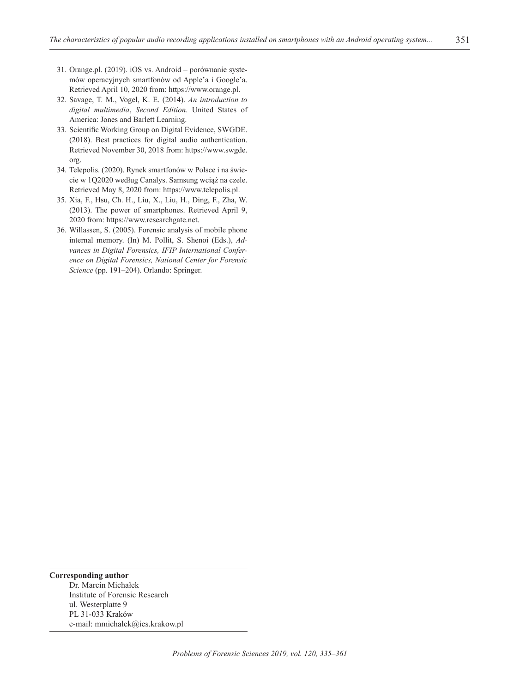- 31. Orange.pl. (2019). iOS vs. Android porównanie systemów operacyjnych smartfonów od Apple'a i Google'a. Retrieved April 10, 2020 from: https://www.orange.pl.
- 32. Savage, T. M., Vogel, K. E. (2014). *An introduction to digital multimedia*, *Second Edition*. United States of America: Jones and Barlett Learning.
- 33. Scientific Working Group on Digital Evidence, SWGDE. (2018). Best practices for digital audio authentication. Retrieved November 30, 2018 from: https://www.swgde. org.
- 34. Telepolis. (2020). Rynek smartfonów w Polsce i na świecie w 1Q2020 według Canalys. Samsung wciąż na czele. Retrieved May 8, 2020 from: https://www.telepolis.pl.
- 35. Xia, F., Hsu, Ch. H., Liu, X., Liu, H., Ding, F., Zha, W. (2013). The power of smartphones. Retrieved April 9, 2020 from: https://www.researchgate.net.
- 36. Willassen, S. (2005). Forensic analysis of mobile phone internal memory. (In) M. Pollit, S. Shenoi (Eds.), *Advances in Digital Forensics, IFIP International Conference on Digital Forensics, National Center for Forensic Science* (pp. 191–204). Orlando: Springer.

**Corresponding author** Dr. Marcin Michałek Institute of Forensic Research ul. Westerplatte 9 PL 31-033 Kraków e-mail: mmichalek@ies.krakow.pl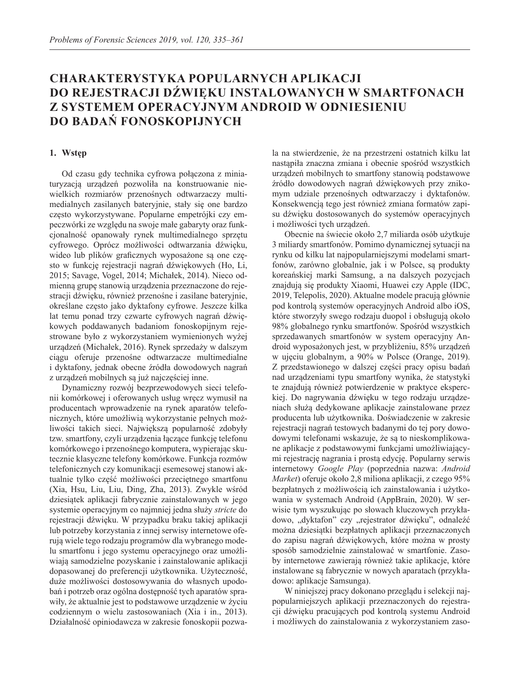# **Charakterystyka popularnych aplikacji do rejestracji dźwięku instalowanych w smartfonach z systemem operacyjnym Android w odniesieniu do badań fonoskopijnych**

# **1. Wstęp**

Od czasu gdy technika cyfrowa połączona z miniaturyzacją urządzeń pozwoliła na konstruowanie niewielkich rozmiarów przenośnych odtwarzaczy multimedialnych zasilanych bateryjnie, stały się one bardzo często wykorzystywane. Popularne empetrójki czy empeczwórki ze względu na swoje małe gabaryty oraz funkcjonalność opanowały rynek multimedialnego sprzętu cyfrowego. Oprócz możliwości odtwarzania dźwięku, wideo lub plików graficznych wyposażone są one często w funkcję rejestracji nagrań dźwiękowych (Ho, Li, 2015; Savage, Vogel, 2014; Michałek, 2014). Nieco odmienną grupę stanowią urządzenia przeznaczone do rejestracji dźwięku, również przenośne i zasilane bateryjnie, określane często jako dyktafony cyfrowe. Jeszcze kilka lat temu ponad trzy czwarte cyfrowych nagrań dźwiękowych poddawanych badaniom fonoskopijnym rejestrowane było z wykorzystaniem wymienionych wyżej urządzeń (Michałek, 2016). Rynek sprzedaży w dalszym ciągu oferuje przenośne odtwarzacze multimedialne i dyktafony, jednak obecne źródła dowodowych nagrań z urządzeń mobilnych są już najczęściej inne.

Dynamiczny rozwój bezprzewodowych sieci telefonii komórkowej i oferowanych usług wręcz wymusił na producentach wprowadzenie na rynek aparatów telefonicznych, które umożliwią wykorzystanie pełnych możliwości takich sieci. Największą popularność zdobyły tzw. smartfony, czyli urządzenia łączące funkcję telefonu komórkowego i przenośnego komputera, wypierając skutecznie klasyczne telefony komórkowe. Funkcja rozmów telefonicznych czy komunikacji esemesowej stanowi aktualnie tylko część możliwości przeciętnego smartfonu (Xia, Hsu, Liu, Liu, Ding, Zha, 2013). Zwykle wśród dziesiątek aplikacji fabrycznie zainstalowanych w jego systemie operacyjnym co najmniej jedna służy *stricte* do rejestracji dźwięku. W przypadku braku takiej aplikacji lub potrzeby korzystania z innej serwisy internetowe oferują wiele tego rodzaju programów dla wybranego modelu smartfonu i jego systemu operacyjnego oraz umożliwiają samodzielne pozyskanie i zainstalowanie aplikacji dopasowanej do preferencji użytkownika. Użyteczność, duże możliwości dostosowywania do własnych upodobań i potrzeb oraz ogólna dostępność tych aparatów sprawiły, że aktualnie jest to podstawowe urządzenie w życiu codziennym o wielu zastosowaniach (Xia i in., 2013). Działalność opiniodawcza w zakresie fonoskopii pozwala na stwierdzenie, że na przestrzeni ostatnich kilku lat nastąpiła znaczna zmiana i obecnie spośród wszystkich urządzeń mobilnych to smartfony stanowią podstawowe źródło dowodowych nagrań dźwiękowych przy znikomym udziale przenośnych odtwarzaczy i dyktafonów. Konsekwencją tego jest również zmiana formatów zapisu dźwięku dostosowanych do systemów operacyjnych i możliwości tych urządzeń.

Obecnie na świecie około 2,7 miliarda osób użytkuje 3 miliardy smartfonów. Pomimo dynamicznej sytuacji na rynku od kilku lat najpopularniejszymi modelami smartfonów, zarówno globalnie, jak i w Polsce, są produkty koreańskiej marki Samsung, a na dalszych pozycjach znajdują się produkty Xiaomi, Huawei czy Apple (IDC, 2019, Telepolis, 2020). Aktualne modele pracują głównie pod kontrolą systemów operacyjnych Android albo iOS, które stworzyły swego rodzaju duopol i obsługują około 98% globalnego rynku smartfonów. Spośród wszystkich sprzedawanych smartfonów w system operacyjny Android wyposażonych jest, w przybliżeniu, 85% urządzeń w ujęciu globalnym, a 90% w Polsce (Orange, 2019). Z przedstawionego w dalszej części pracy opisu badań nad urządzeniami typu smartfony wynika, że statystyki te znajdują również potwierdzenie w praktyce eksperckiej. Do nagrywania dźwięku w tego rodzaju urządzeniach służą dedykowane aplikacje zainstalowane przez producenta lub użytkownika. Doświadczenie w zakresie rejestracji nagrań testowych badanymi do tej pory dowodowymi telefonami wskazuje, że są to nieskomplikowane aplikacje z podstawowymi funkcjami umożliwiającymi rejestrację nagrania i prostą edycję. Popularny serwis internetowy *Google Play* (poprzednia nazwa: *Android Market*) oferuje około 2,8 miliona aplikacji, z czego 95% bezpłatnych z możliwością ich zainstalowania i użytkowania w systemach Android (AppBrain, 2020). W serwisie tym wyszukując po słowach kluczowych przykładowo, "dyktafon" czy "rejestrator dźwięku", odnaleźć można dziesiątki bezpłatnych aplikacji przeznaczonych do zapisu nagrań dźwiękowych, które można w prosty sposób samodzielnie zainstalować w smartfonie. Zasoby internetowe zawierają również takie aplikacje, które instalowane są fabrycznie w nowych aparatach (przykładowo: aplikacje Samsunga).

W niniejszej pracy dokonano przeglądu i selekcji najpopularniejszych aplikacji przeznaczonych do rejestracji dźwięku pracujących pod kontrolą systemu Android i możliwych do zainstalowania z wykorzystaniem zaso-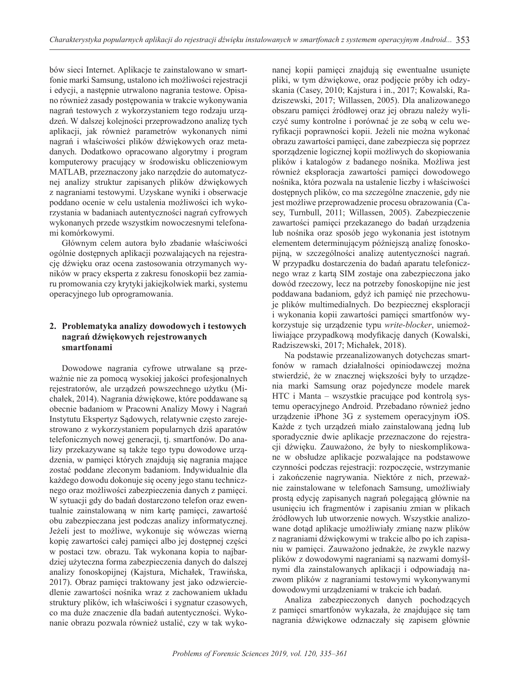bów sieci Internet. Aplikacje te zainstalowano w smartfonie marki Samsung, ustalono ich możliwości rejestracji i edycji, a następnie utrwalono nagrania testowe. Opisano również zasady postępowania w trakcie wykonywania nagrań testowych z wykorzystaniem tego rodzaju urządzeń. W dalszej kolejności przeprowadzono analizę tych aplikacji, jak również parametrów wykonanych nimi nagrań i właściwości plików dźwiękowych oraz metadanych. Dodatkowo opracowano algorytmy i program komputerowy pracujący w środowisku obliczeniowym MATLAB, przeznaczony jako narzędzie do automatycznej analizy struktur zapisanych plików dźwiękowych z nagraniami testowymi. Uzyskane wyniki i obserwacje poddano ocenie w celu ustalenia możliwości ich wykorzystania w badaniach autentyczności nagrań cyfrowych wykonanych przede wszystkim nowoczesnymi telefonami komórkowymi.

Głównym celem autora było zbadanie właściwości ogólnie dostępnych aplikacji pozwalających na rejestrację dźwięku oraz ocena zastosowania otrzymanych wyników w pracy eksperta z zakresu fonoskopii bez zamiaru promowania czy krytyki jakiejkolwiek marki, systemu operacyjnego lub oprogramowania.

# **2. Problematyka analizy dowodowych i testowych nagrań dźwiękowych rejestrowanych smartfonami**

Dowodowe nagrania cyfrowe utrwalane są przeważnie nie za pomocą wysokiej jakości profesjonalnych rejestratorów, ale urządzeń powszechnego użytku (Michałek, 2014). Nagrania dźwiękowe, które poddawane są obecnie badaniom w Pracowni Analizy Mowy i Nagrań Instytutu Ekspertyz Sądowych, relatywnie często zarejestrowano z wykorzystaniem popularnych dziś aparatów telefonicznych nowej generacji, tj. smartfonów. Do analizy przekazywane są także tego typu dowodowe urządzenia, w pamięci których znajdują się nagrania mające zostać poddane zleconym badaniom. Indywidualnie dla każdego dowodu dokonuje się oceny jego stanu technicznego oraz możliwości zabezpieczenia danych z pamięci. W sytuacji gdy do badań dostarczono telefon oraz ewentualnie zainstalowaną w nim kartę pamięci, zawartość obu zabezpieczana jest podczas analizy informatycznej. Jeżeli jest to możliwe, wykonuje się wówczas wierną kopię zawartości całej pamięci albo jej dostępnej części w postaci tzw. obrazu. Tak wykonana kopia to najbardziej użyteczna forma zabezpieczenia danych do dalszej analizy fonoskopijnej (Kajstura, Michałek, Trawińska, 2017). Obraz pamięci traktowany jest jako odzwierciedlenie zawartości nośnika wraz z zachowaniem układu struktury plików, ich właściwości i sygnatur czasowych, co ma duże znaczenie dla badań autentyczności. Wykonanie obrazu pozwala również ustalić, czy w tak wykonanej kopii pamięci znajdują się ewentualne usunięte pliki, w tym dźwiękowe, oraz podjęcie próby ich odzyskania (Casey, 2010; Kajstura i in., 2017; Kowalski, Radziszewski, 2017; Willassen, 2005). Dla analizowanego obszaru pamięci źródłowej oraz jej obrazu należy wyliczyć sumy kontrolne i porównać je ze sobą w celu weryfikacji poprawności kopii. Jeżeli nie można wykonać obrazu zawartości pamięci, dane zabezpiecza się poprzez sporządzenie logicznej kopii możliwych do skopiowania plików i katalogów z badanego nośnika. Możliwa jest również eksploracja zawartości pamięci dowodowego nośnika, która pozwala na ustalenie liczby i właściwości dostępnych plików, co ma szczególne znaczenie, gdy nie jest możliwe przeprowadzenie procesu obrazowania (Casey, Turnbull, 2011; Willassen, 2005). Zabezpieczenie zawartości pamięci przekazanego do badań urządzenia lub nośnika oraz sposób jego wykonania jest istotnym elementem determinującym późniejszą analizę fonoskopijną, w szczególności analizę autentyczności nagrań. W przypadku dostarczenia do badań aparatu telefonicznego wraz z kartą SIM zostaje ona zabezpieczona jako dowód rzeczowy, lecz na potrzeby fonoskopijne nie jest poddawana badaniom, gdyż ich pamięć nie przechowuje plików multimedialnych. Do bezpiecznej eksploracji i wykonania kopii zawartości pamięci smartfonów wykorzystuje się urządzenie typu *write-blocker*, uniemożliwiające przypadkową modyfikację danych (Kowalski, Radziszewski, 2017; Michałek, 2018).

Na podstawie przeanalizowanych dotychczas smartfonów w ramach działalności opiniodawczej można stwierdzić, że w znacznej większości były to urządzenia marki Samsung oraz pojedyncze modele marek HTC i Manta – wszystkie pracujące pod kontrolą systemu operacyjnego Android. Przebadano również jedno urządzenie iPhone 3G z systemem operacyjnym iOS. Każde z tych urządzeń miało zainstalowaną jedną lub sporadycznie dwie aplikacje przeznaczone do rejestracji dźwięku. Zauważono, że były to nieskomplikowane w obsłudze aplikacje pozwalające na podstawowe czynności podczas rejestracji: rozpoczęcie, wstrzymanie i zakończenie nagrywania. Niektóre z nich, przeważnie zainstalowane w telefonach Samsung, umożliwiały prostą edycję zapisanych nagrań polegającą głównie na usunięciu ich fragmentów i zapisaniu zmian w plikach źródłowych lub utworzenie nowych. Wszystkie analizowane dotąd aplikacje umożliwiały zmianę nazw plików z nagraniami dźwiękowymi w trakcie albo po ich zapisaniu w pamięci. Zauważono jednakże, że zwykle nazwy plików z dowodowymi nagraniami są nazwami domyślnymi dla zainstalowanych aplikacji i odpowiadają nazwom plików z nagraniami testowymi wykonywanymi dowodowymi urządzeniami w trakcie ich badań.

Analiza zabezpieczonych danych pochodzących z pamięci smartfonów wykazała, że znajdujące się tam nagrania dźwiękowe odznaczały się zapisem głównie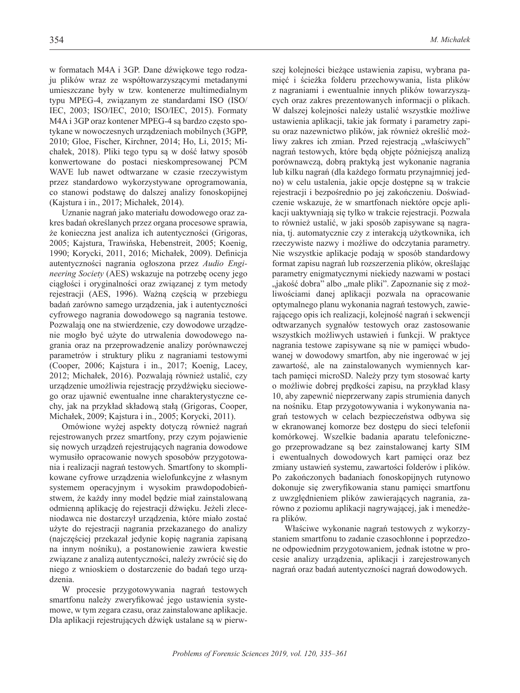w formatach M4A i 3GP. Dane dźwiękowe tego rodzaju plików wraz ze współtowarzyszącymi metadanymi umieszczane były w tzw. kontenerze multimedialnym typu MPEG-4, związanym ze standardami ISO (ISO/ IEC, 2003; ISO/IEC, 2010; ISO/IEC, 2015). Formaty M4A i 3GP oraz kontener MPEG-4 są bardzo często spotykane w nowoczesnych urządzeniach mobilnych (3GPP, 2010; Gloe, Fischer, Kirchner, 2014; Ho, Li, 2015; Michałek, 2018). Pliki tego typu są w dość łatwy sposób konwertowane do postaci nieskompresowanej PCM WAVE lub nawet odtwarzane w czasie rzeczywistym przez standardowo wykorzystywane oprogramowania, co stanowi podstawę do dalszej analizy fonoskopijnej (Kajstura i in., 2017; Michałek, 2014).

Uznanie nagrań jako materiału dowodowego oraz zakres badań określanych przez organa procesowe sprawia, że konieczna jest analiza ich autentyczności (Grigoras, 2005; Kajstura, Trawińska, Hebenstreit, 2005; Koenig, 1990; Korycki, 2011, 2016; Michałek, 2009). Definicja autentyczności nagrania ogłoszona przez *Audio Engineering Society* (AES) wskazuje na potrzebę oceny jego ciągłości i oryginalności oraz związanej z tym metody rejestracji (AES, 1996). Ważną częścią w przebiegu badań zarówno samego urządzenia, jak i autentyczności cyfrowego nagrania dowodowego są nagrania testowe. Pozwalają one na stwierdzenie, czy dowodowe urządzenie mogło być użyte do utrwalenia dowodowego nagrania oraz na przeprowadzenie analizy porównawczej parametrów i struktury pliku z nagraniami testowymi (Cooper, 2006; Kajstura i in., 2017; Koenig, Lacey, 2012; Michałek, 2016). Pozwalają również ustalić, czy urządzenie umożliwia rejestrację przydźwięku sieciowego oraz ujawnić ewentualne inne charakterystyczne cechy, jak na przykład składową stałą (Grigoras, Cooper, Michałek, 2009; Kajstura i in., 2005; Korycki, 2011).

Omówione wyżej aspekty dotyczą również nagrań rejestrowanych przez smartfony, przy czym pojawienie się nowych urządzeń rejestrujących nagrania dowodowe wymusiło opracowanie nowych sposobów przygotowania i realizacji nagrań testowych. Smartfony to skomplikowane cyfrowe urządzenia wielofunkcyjne z własnym systemem operacyjnym i wysokim prawdopodobieństwem, że każdy inny model będzie miał zainstalowaną odmienną aplikację do rejestracji dźwięku. Jeżeli zleceniodawca nie dostarczył urządzenia, które miało zostać użyte do rejestracji nagrania przekazanego do analizy (najczęściej przekazał jedynie kopię nagrania zapisaną na innym nośniku), a postanowienie zawiera kwestie związane z analizą autentyczności, należy zwrócić się do niego z wnioskiem o dostarczenie do badań tego urządzenia.

W procesie przygotowywania nagrań testowych smartfonu należy zweryfikować jego ustawienia systemowe, w tym zegara czasu, oraz zainstalowane aplikacje. Dla aplikacji rejestrujących dźwięk ustalane są w pierw

szej kolejności bieżące ustawienia zapisu, wybrana pamięć i ścieżka folderu przechowywania, lista plików z nagraniami i ewentualnie innych plików towarzyszących oraz zakres prezentowanych informacji o plikach. W dalszej kolejności należy ustalić wszystkie możliwe ustawienia aplikacji, takie jak formaty i parametry zapisu oraz nazewnictwo plików, jak również określić możliwy zakres ich zmian. Przed rejestracją "właściwych" nagrań testowych, które będą objęte późniejszą analizą porównawczą, dobrą praktyką jest wykonanie nagrania lub kilku nagrań (dla każdego formatu przynajmniej jedno) w celu ustalenia, jakie opcje dostępne są w trakcie rejestracji i bezpośrednio po jej zakończeniu. Doświadczenie wskazuje, że w smartfonach niektóre opcje aplikacji uaktywniają się tylko w trakcie rejestracji. Pozwala to również ustalić, w jaki sposób zapisywane są nagrania, tj. automatycznie czy z interakcją użytkownika, ich rzeczywiste nazwy i możliwe do odczytania parametry. Nie wszystkie aplikacje podają w sposób standardowy format zapisu nagrań lub rozszerzenia plików, określając parametry enigmatycznymi niekiedy nazwami w postaci "jakość dobra" albo "małe pliki". Zapoznanie się z możliwościami danej aplikacji pozwala na opracowanie optymalnego planu wykonania nagrań testowych, zawierającego opis ich realizacji, kolejność nagrań i sekwencji odtwarzanych sygnałów testowych oraz zastosowanie wszystkich możliwych ustawień i funkcji. W praktyce nagrania testowe zapisywane są nie w pamięci wbudowanej w dowodowy smartfon, aby nie ingerować w jej zawartość, ale na zainstalowanych wymiennych kartach pamięci microSD. Należy przy tym stosować karty o możliwie dobrej prędkości zapisu, na przykład klasy 10, aby zapewnić nieprzerwany zapis strumienia danych na nośniku. Etap przygotowywania i wykonywania nagrań testowych w celach bezpieczeństwa odbywa się w ekranowanej komorze bez dostępu do sieci telefonii komórkowej. Wszelkie badania aparatu telefonicznego przeprowadzane są bez zainstalowanej karty SIM i ewentualnych dowodowych kart pamięci oraz bez zmiany ustawień systemu, zawartości folderów i plików. Po zakończonych badaniach fonoskopijnych rutynowo dokonuje się zweryfikowania stanu pamięci smartfonu z uwzględnieniem plików zawierających nagrania, zarówno z poziomu aplikacji nagrywającej, jak i menedżera plików.

Właściwe wykonanie nagrań testowych z wykorzystaniem smartfonu to zadanie czasochłonne i poprzedzone odpowiednim przygotowaniem, jednak istotne w procesie analizy urządzenia, aplikacji i zarejestrowanych nagrań oraz badań autentyczności nagrań dowodowych.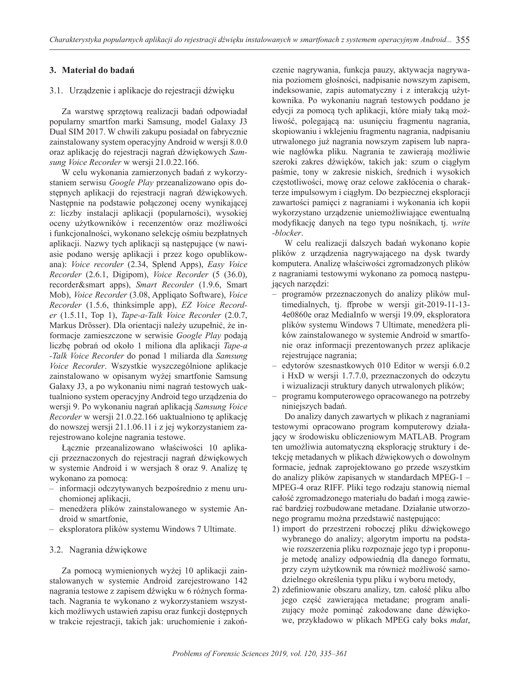# **3. Materiał do badań**

### 3.1. Urządzenie i aplikacje do rejestracji dźwięku

Za warstwę sprzętową realizacji badań odpowiadał popularny smartfon marki Samsung, model Galaxy J3 Dual SIM 2017. W chwili zakupu posiadał on fabrycznie zainstalowany system operacyjny Android w wersji 8.0.0 oraz aplikację do rejestracji nagrań dźwiękowych *Samsung Voice Recorder* w wersji 21.0.22.166.

W celu wykonania zamierzonych badań z wykorzystaniem serwisu *Google Play* przeanalizowano opis dostępnych aplikacji do rejestracji nagrań dźwiękowych. Następnie na podstawie połączonej oceny wynikającej z: liczby instalacji aplikacji (popularności), wysokiej oceny użytkowników i recenzentów oraz możliwości i funkcjonalności, wykonano selekcję ośmiu bezpłatnych aplikacji. Nazwy tych aplikacji są następujące (w nawiasie podano wersję aplikacji i przez kogo opublikowana): *Voice recorder* (2.34, Splend Apps), *Easy Voice Recorder* (2.6.1, Digipom), *Voice Recorder* (5 (36.0), recorder&smart apps), *Smart Recorder* (1.9.6, Smart Mob), *Voice Recorder* (3.08, Appliqato Software), *Voice Recorder* (1.5.6, thinksimple app), *EZ Voice Recorder* (1.5.11, Top 1), *Tape-a-Talk Voice Recorder* (2.0.7, Markus Drösser). Dla orientacji należy uzupełnić, że informacje zamieszczone w serwisie *Google Play* podają liczbę pobrań od około 1 miliona dla aplikacji *Tape-a -Talk Voice Recorder* do ponad 1 miliarda dla *Samsung Voice Recorder*. Wszystkie wyszczególnione aplikacje zainstalowano w opisanym wyżej smartfonie Samsung Galaxy J3, a po wykonaniu nimi nagrań testowych uaktualniono system operacyjny Android tego urządzenia do wersji 9. Po wykonaniu nagrań aplikacją *Samsung Voice Recorder* w wersji 21.0.22.166 uaktualniono tę aplikację do nowszej wersji 21.1.06.11 i z jej wykorzystaniem zarejestrowano kolejne nagrania testowe.

Łącznie przeanalizowano właściwości 10 aplikacji przeznaczonych do rejestracji nagrań dźwiękowych w systemie Android i w wersjach 8 oraz 9. Analizę tę wykonano za pomocą:

- informacji odczytywanych bezpośrednio z menu uruchomionej aplikacji,
- menedżera plików zainstalowanego w systemie Android w smartfonie,
- eksploratora plików systemu Windows 7 Ultimate.

# 3.2. Nagrania dźwiękowe

Za pomocą wymienionych wyżej 10 aplikacji zainstalowanych w systemie Android zarejestrowano 142 nagrania testowe z zapisem dźwięku w 6 różnych formatach. Nagrania te wykonano z wykorzystaniem wszystkich możliwych ustawień zapisu oraz funkcji dostępnych w trakcie rejestracji, takich jak: uruchomienie i zakończenie nagrywania, funkcja pauzy, aktywacja nagrywania poziomem głośności, nadpisanie nowszym zapisem, indeksowanie, zapis automatyczny i z interakcją użytkownika. Po wykonaniu nagrań testowych poddano je edycji za pomocą tych aplikacji, które miały taką możliwość, polegającą na: usunięciu fragmentu nagrania, skopiowaniu i wklejeniu fragmentu nagrania, nadpisaniu utrwalonego już nagrania nowszym zapisem lub naprawie nagłówka pliku. Nagrania te zawierają możliwie szeroki zakres dźwięków, takich jak: szum o ciągłym paśmie, tony w zakresie niskich, średnich i wysokich częstotliwości, mowę oraz celowe zakłócenia o charakterze impulsowym i ciągłym. Do bezpiecznej eksploracji zawartości pamięci z nagraniami i wykonania ich kopii wykorzystano urządzenie uniemożliwiające ewentualną modyfikację danych na tego typu nośnikach, tj. *write -blocker*.

W celu realizacji dalszych badań wykonano kopie plików z urządzenia nagrywającego na dysk twardy komputera. Analizę właściwości zgromadzonych plików z nagraniami testowymi wykonano za pomocą następujących narzędzi:

- programów przeznaczonych do analizy plików multimedialnych, tj. ffprobe w wersji git-2019-11-13- 4e0860e oraz MediaInfo w wersji 19.09, eksploratora plików systemu Windows 7 Ultimate, menedżera plików zainstalowanego w systemie Android w smartfonie oraz informacji prezentowanych przez aplikacje rejestrujące nagrania;
- edytorów szesnastkowych 010 Editor w wersji 6.0.2 i HxD w wersji 1.7.7.0, przeznaczonych do odczytu i wizualizacji struktury danych utrwalonych plików;
- programu komputerowego opracowanego na potrzeby niniejszych badań.

Do analizy danych zawartych w plikach z nagraniami testowymi opracowano program komputerowy działający w środowisku obliczeniowym MATLAB. Program ten umożliwia automatyczną eksplorację struktury i detekcję metadanych w plikach dźwiękowych o dowolnym formacie, jednak zaprojektowano go przede wszystkim do analizy plików zapisanych w standardach MPEG-1 – MPEG-4 oraz RIFF. Pliki tego rodzaju stanowią niemal całość zgromadzonego materiału do badań i mogą zawierać bardziej rozbudowane metadane. Działanie utworzonego programu można przedstawić następująco:

- 1) import do przestrzeni roboczej pliku dźwiękowego wybranego do analizy; algorytm importu na podstawie rozszerzenia pliku rozpoznaje jego typ i proponuje metodę analizy odpowiednią dla danego formatu, przy czym użytkownik ma również możliwość samodzielnego określenia typu pliku i wyboru metody,
- 2) zdefiniowanie obszaru analizy, tzn. całość pliku albo jego część zawierająca metadane; program analizujący może pominąć zakodowane dane dźwiękowe, przykładowo w plikach MPEG cały boks *mdat*,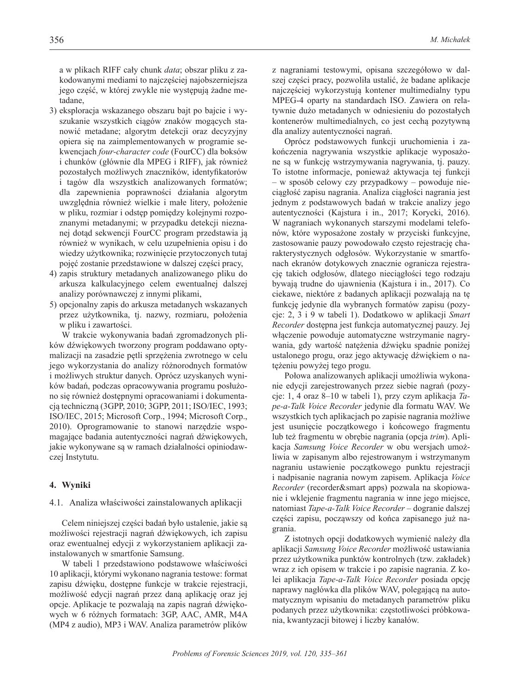a w plikach RIFF cały chunk *data*; obszar pliku z zakodowanymi mediami to najczęściej najobszerniejsza jego część, w której zwykle nie występują żadne metadane,

- 3) eksploracja wskazanego obszaru bajt po bajcie i wyszukanie wszystkich ciągów znaków mogących stanowić metadane; algorytm detekcji oraz decyzyjny opiera się na zaimplementowanych w programie sekwencjach *four-character code* (FourCC) dla boksów i chunków (głównie dla MPEG i RIFF), jak również pozostałych możliwych znaczników, identyfikatorów i tagów dla wszystkich analizowanych formatów; dla zapewnienia poprawności działania algorytm uwzględnia również wielkie i małe litery, położenie w pliku, rozmiar i odstęp pomiędzy kolejnymi rozpoznanymi metadanymi; w przypadku detekcji nieznanej dotąd sekwencji FourCC program przedstawia ją również w wynikach, w celu uzupełnienia opisu i do wiedzy użytkownika; rozwinięcie przytoczonych tutaj pojęć zostanie przedstawione w dalszej części pracy,
- 4) zapis struktury metadanych analizowanego pliku do arkusza kalkulacyjnego celem ewentualnej dalszej analizy porównawczej z innymi plikami,
- 5) opcjonalny zapis do arkusza metadanych wskazanych przez użytkownika, tj. nazwy, rozmiaru, położenia w pliku i zawartości.

W trakcie wykonywania badań zgromadzonych plików dźwiękowych tworzony program poddawano optymalizacji na zasadzie pętli sprzężenia zwrotnego w celu jego wykorzystania do analizy różnorodnych formatów i możliwych struktur danych. Oprócz uzyskanych wyników badań, podczas opracowywania programu posłużono się również dostępnymi opracowaniami i dokumentacją techniczną (3GPP, 2010; 3GPP, 2011; ISO/IEC, 1993; ISO/IEC, 2015; Microsoft Corp., 1994; Microsoft Corp., 2010). Oprogramowanie to stanowi narzędzie wspomagające badania autentyczności nagrań dźwiękowych, jakie wykonywane są w ramach działalności opiniodawczej Instytutu.

#### **4. Wyniki**

#### 4.1. Analiza właściwości zainstalowanych aplikacji

Celem niniejszej części badań było ustalenie, jakie są możliwości rejestracji nagrań dźwiękowych, ich zapisu oraz ewentualnej edycji z wykorzystaniem aplikacji zainstalowanych w smartfonie Samsung.

W tabeli 1 przedstawiono podstawowe właściwości 10 aplikacji, którymi wykonano nagrania testowe: format zapisu dźwięku, dostępne funkcje w trakcie rejestracji, możliwość edycji nagrań przez daną aplikację oraz jej opcje. Aplikacje te pozwalają na zapis nagrań dźwiękowych w 6 różnych formatach: 3GP, AAC, AMR, M4A (MP4 z audio), MP3 i WAV. Analiza parametrów plików

z nagraniami testowymi, opisana szczegółowo w dalszej części pracy, pozwoliła ustalić, że badane aplikacje najczęściej wykorzystują kontener multimedialny typu MPEG-4 oparty na standardach ISO. Zawiera on relatywnie dużo metadanych w odniesieniu do pozostałych kontenerów multimedialnych, co jest cechą pozytywną dla analizy autentyczności nagrań.

Oprócz podstawowych funkcji uruchomienia i zakończenia nagrywania wszystkie aplikacje wyposażone są w funkcję wstrzymywania nagrywania, tj. pauzy. To istotne informacje, ponieważ aktywacja tej funkcji – w sposób celowy czy przypadkowy – powoduje nieciągłość zapisu nagrania. Analiza ciągłości nagrania jest jednym z podstawowych badań w trakcie analizy jego autentyczności (Kajstura i in., 2017; Korycki, 2016). W nagraniach wykonanych starszymi modelami telefonów, które wyposażone zostały w przyciski funkcyjne, zastosowanie pauzy powodowało często rejestrację charakterystycznych odgłosów. Wykorzystanie w smartfonach ekranów dotykowych znacznie ogranicza rejestrację takich odgłosów, dlatego nieciągłości tego rodzaju bywają trudne do ujawnienia (Kajstura i in., 2017). Co ciekawe, niektóre z badanych aplikacji pozwalają na tę funkcję jedynie dla wybranych formatów zapisu (pozycje: 2, 3 i 9 w tabeli 1). Dodatkowo w aplikacji *Smart Recorder* dostępna jest funkcja automatycznej pauzy. Jej włączenie powoduje automatyczne wstrzymanie nagrywania, gdy wartość natężenia dźwięku spadnie poniżej ustalonego progu, oraz jego aktywację dźwiękiem o natężeniu powyżej tego progu.

Połowa analizowanych aplikacji umożliwia wykonanie edycji zarejestrowanych przez siebie nagrań (pozycje: 1, 4 oraz 8–10 w tabeli 1), przy czym aplikacja *Tape-a-Talk Voice Recorder* jedynie dla formatu WAV. We wszystkich tych aplikacjach po zapisie nagrania możliwe jest usunięcie początkowego i końcowego fragmentu lub też fragmentu w obrębie nagrania (opcja *trim*). Aplikacja *Samsung Voice Recorder* w obu wersjach umożliwia w zapisanym albo rejestrowanym i wstrzymanym nagraniu ustawienie początkowego punktu rejestracji i nadpisanie nagrania nowym zapisem. Aplikacja *Voice Recorder* (recorder&smart apps) pozwala na skopiowanie i wklejenie fragmentu nagrania w inne jego miejsce, natomiast *Tape-a-Talk Voice Recorder* – dogranie dalszej części zapisu, począwszy od końca zapisanego już nagrania.

Z istotnych opcji dodatkowych wymienić należy dla aplikacji *Samsung Voice Recorder* możliwość ustawiania przez użytkownika punktów kontrolnych (tzw. zakładek) wraz z ich opisem w trakcie i po zapisie nagrania. Z kolei aplikacja *Tape-a-Talk Voice Recorder* posiada opcję naprawy nagłówka dla plików WAV, polegającą na automatycznym wpisaniu do metadanych parametrów pliku podanych przez użytkownika: częstotliwości próbkowania, kwantyzacji bitowej i liczby kanałów.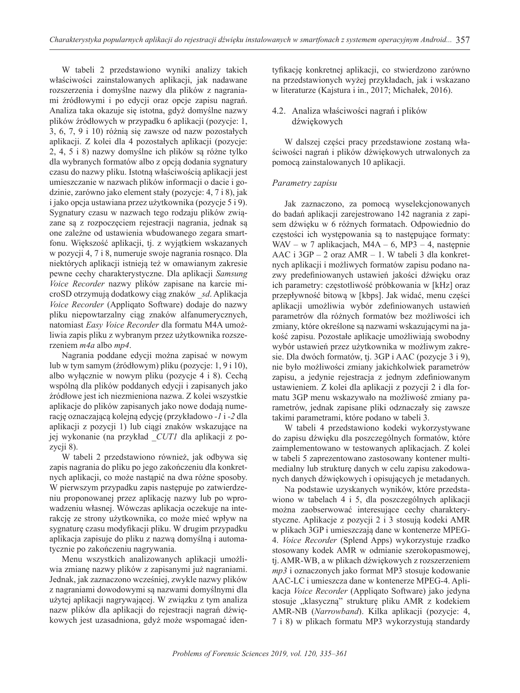W tabeli 2 przedstawiono wyniki analizy takich właściwości zainstalowanych aplikacji, jak nadawane rozszerzenia i domyślne nazwy dla plików z nagraniami źródłowymi i po edycji oraz opcje zapisu nagrań. Analiza taka okazuje się istotna, gdyż domyślne nazwy plików źródłowych w przypadku 6 aplikacji (pozycje: 1, 3, 6, 7, 9 i 10) różnią się zawsze od nazw pozostałych aplikacji. Z kolei dla 4 pozostałych aplikacji (pozycje: 2, 4, 5 i 8) nazwy domyślne ich plików są różne tylko dla wybranych formatów albo z opcją dodania sygnatury czasu do nazwy pliku. Istotną właściwością aplikacji jest umieszczanie w nazwach plików informacji o dacie i godzinie, zarówno jako element stały (pozycje: 4, 7 i 8), jak i jako opcja ustawiana przez użytkownika (pozycje 5 i 9). Sygnatury czasu w nazwach tego rodzaju plików związane są z rozpoczęciem rejestracji nagrania, jednak są one zależne od ustawienia wbudowanego zegara smartfonu. Większość aplikacji, tj. z wyjątkiem wskazanych w pozycji 4, 7 i 8, numeruje swoje nagrania rosnąco. Dla niektórych aplikacji istnieją też w omawianym zakresie pewne cechy charakterystyczne. Dla aplikacji *Samsung Voice Recorder* nazwy plików zapisane na karcie microSD otrzymują dodatkowy ciąg znaków *\_sd*. Aplikacja *Voice Recorder* (Appliqato Software) dodaje do nazwy pliku niepowtarzalny ciąg znaków alfanumerycznych, natomiast *Easy Voice Recorder* dla formatu M4A umożliwia zapis pliku z wybranym przez użytkownika rozszerzeniem *m4a* albo *mp4*.

Nagrania poddane edycji można zapisać w nowym lub w tym samym (źródłowym) pliku (pozycje: 1, 9 i 10), albo wyłącznie w nowym pliku (pozycje 4 i 8). Cechą wspólną dla plików poddanych edycji i zapisanych jako źródłowe jest ich niezmieniona nazwa. Z kolei wszystkie aplikacje do plików zapisanych jako nowe dodają numerację oznaczającą kolejną edycję (przykładowo *-1* i *-2* dla aplikacji z pozycji 1) lub ciągi znaków wskazujące na jej wykonanie (na przykład *\_CUT1* dla aplikacji z pozycji 8).

W tabeli 2 przedstawiono również, jak odbywa się zapis nagrania do pliku po jego zakończeniu dla konkretnych aplikacji, co może nastąpić na dwa różne sposoby. W pierwszym przypadku zapis następuje po zatwierdzeniu proponowanej przez aplikację nazwy lub po wprowadzeniu własnej. Wówczas aplikacja oczekuje na interakcję ze strony użytkownika, co może mieć wpływ na sygnaturę czasu modyfikacji pliku. W drugim przypadku aplikacja zapisuje do pliku z nazwą domyślną i automatycznie po zakończeniu nagrywania.

Menu wszystkich analizowanych aplikacji umożliwia zmianę nazwy plików z zapisanymi już nagraniami. Jednak, jak zaznaczono wcześniej, zwykle nazwy plików z nagraniami dowodowymi są nazwami domyślnymi dla użytej aplikacji nagrywającej. W związku z tym analiza nazw plików dla aplikacji do rejestracji nagrań dźwiękowych jest uzasadniona, gdyż może wspomagać identyfikację konkretnej aplikacji, co stwierdzono zarówno na przedstawionych wyżej przykładach, jak i wskazano w literaturze (Kajstura i in., 2017; Michałek, 2016).

# 4.2. Analiza właściwości nagrań i plików dźwiękowych

W dalszej części pracy przedstawione zostaną właściwości nagrań i plików dźwiękowych utrwalonych za pomocą zainstalowanych 10 aplikacji.

# *Parametry zapisu*

Jak zaznaczono, za pomocą wyselekcjonowanych do badań aplikacji zarejestrowano 142 nagrania z zapisem dźwięku w 6 różnych formatach. Odpowiednio do częstości ich występowania są to następujące formaty: WAV – w 7 aplikacjach, M4A – 6, MP3 – 4, następnie AAC i 3GP – 2 oraz AMR – 1. W tabeli 3 dla konkretnych aplikacji i możliwych formatów zapisu podano nazwy predefiniowanych ustawień jakości dźwięku oraz ich parametry: częstotliwość próbkowania w [kHz] oraz przepływność bitową w [kbps]. Jak widać, menu części aplikacji umożliwia wybór zdefiniowanych ustawień parametrów dla różnych formatów bez możliwości ich zmiany, które określone są nazwami wskazującymi na jakość zapisu. Pozostałe aplikacje umożliwiają swobodny wybór ustawień przez użytkownika w możliwym zakresie. Dla dwóch formatów, tj. 3GP i AAC (pozycje 3 i 9), nie było możliwości zmiany jakichkolwiek parametrów zapisu, a jedynie rejestracja z jednym zdefiniowanym ustawieniem. Z kolei dla aplikacji z pozycji 2 i dla formatu 3GP menu wskazywało na możliwość zmiany parametrów, jednak zapisane pliki odznaczały się zawsze takimi parametrami, które podano w tabeli 3.

W tabeli 4 przedstawiono kodeki wykorzystywane do zapisu dźwięku dla poszczególnych formatów, które zaimplementowano w testowanych aplikacjach. Z kolei w tabeli 5 zaprezentowano zastosowany kontener multimedialny lub strukturę danych w celu zapisu zakodowanych danych dźwiękowych i opisujących je metadanych.

Na podstawie uzyskanych wyników, które przedstawiono w tabelach 4 i 5, dla poszczególnych aplikacji można zaobserwować interesujące cechy charakterystyczne. Aplikacje z pozycji 2 i 3 stosują kodeki AMR w plikach 3GP i umieszczają dane w kontenerze MPEG-4. *Voice Recorder* (Splend Apps) wykorzystuje rzadko stosowany kodek AMR w odmianie szerokopasmowej, tj. AMR-WB, a w plikach dźwiękowych z rozszerzeniem *mp3* i oznaczonych jako format MP3 stosuje kodowanie AAC-LC i umieszcza dane w kontenerze MPEG-4. Aplikacja *Voice Recorder* (Appliqato Software) jako jedyna stosuje "klasyczną" strukturę pliku AMR z kodekiem AMR-NB (*Narrowband*). Kilka aplikacji (pozycje: 4, 7 i 8) w plikach formatu MP3 wykorzystują standardy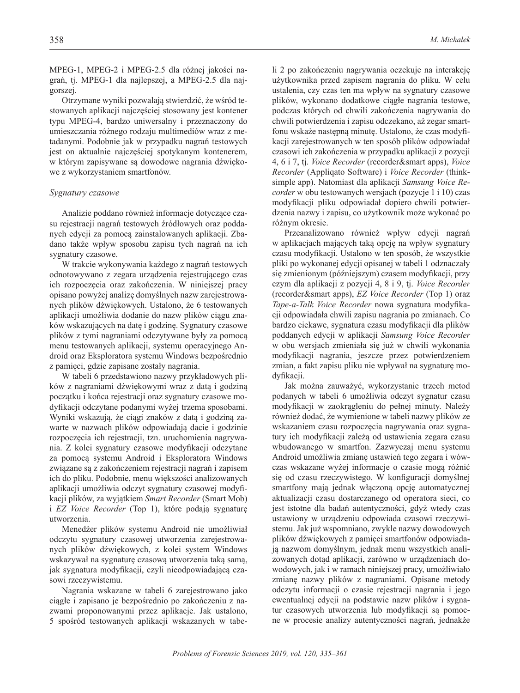MPEG-1, MPEG-2 i MPEG-2.5 dla różnej jakości nagrań, tj. MPEG-1 dla najlepszej, a MPEG-2.5 dla najgorszej.

Otrzymane wyniki pozwalają stwierdzić, że wśród testowanych aplikacji najczęściej stosowany jest kontener typu MPEG-4, bardzo uniwersalny i przeznaczony do umieszczania różnego rodzaju multimediów wraz z metadanymi. Podobnie jak w przypadku nagrań testowych jest on aktualnie najczęściej spotykanym kontenerem, w którym zapisywane są dowodowe nagrania dźwiękowe z wykorzystaniem smartfonów.

#### *Sygnatury czasowe*

Analizie poddano również informacje dotyczące czasu rejestracji nagrań testowych źródłowych oraz poddanych edycji za pomocą zainstalowanych aplikacji. Zbadano także wpływ sposobu zapisu tych nagrań na ich sygnatury czasowe.

W trakcie wykonywania każdego z nagrań testowych odnotowywano z zegara urządzenia rejestrującego czas ich rozpoczęcia oraz zakończenia. W niniejszej pracy opisano powyżej analizę domyślnych nazw zarejestrowanych plików dźwiękowych. Ustalono, że 6 testowanych aplikacji umożliwia dodanie do nazw plików ciągu znaków wskazujących na datę i godzinę. Sygnatury czasowe plików z tymi nagraniami odczytywane były za pomocą menu testowanych aplikacji, systemu operacyjnego Android oraz Eksploratora systemu Windows bezpośrednio z pamięci, gdzie zapisane zostały nagrania.

W tabeli 6 przedstawiono nazwy przykładowych plików z nagraniami dźwiękowymi wraz z datą i godziną początku i końca rejestracji oraz sygnatury czasowe modyfikacji odczytane podanymi wyżej trzema sposobami. Wyniki wskazują, że ciągi znaków z datą i godziną zawarte w nazwach plików odpowiadają dacie i godzinie rozpoczęcia ich rejestracji, tzn. uruchomienia nagrywania. Z kolei sygnatury czasowe modyfikacji odczytane za pomocą systemu Android i Eksploratora Windows związane są z zakończeniem rejestracji nagrań i zapisem ich do pliku. Podobnie, menu większości analizowanych aplikacji umożliwia odczyt sygnatury czasowej modyfikacji plików, za wyjątkiem *Smart Recorder* (Smart Mob) i *EZ Voice Recorder* (Top 1), które podają sygnaturę utworzenia.

Menedżer plików systemu Android nie umożliwiał odczytu sygnatury czasowej utworzenia zarejestrowanych plików dźwiękowych, z kolei system Windows wskazywał na sygnaturę czasową utworzenia taką samą, jak sygnatura modyfikacji, czyli nieodpowiadającą czasowi rzeczywistemu.

Nagrania wskazane w tabeli 6 zarejestrowano jako ciągłe i zapisano je bezpośrednio po zakończeniu z nazwami proponowanymi przez aplikacje. Jak ustalono, 5 spośród testowanych aplikacji wskazanych w tabeli 2 po zakończeniu nagrywania oczekuje na interakcję użytkownika przed zapisem nagrania do pliku. W celu ustalenia, czy czas ten ma wpływ na sygnatury czasowe plików, wykonano dodatkowe ciągłe nagrania testowe, podczas których od chwili zakończenia nagrywania do chwili potwierdzenia i zapisu odczekano, aż zegar smartfonu wskaże następną minutę. Ustalono, że czas modyfikacji zarejestrowanych w ten sposób plików odpowiadał czasowi ich zakończenia w przypadku aplikacji z pozycji 4, 6 i 7, tj. *Voice Recorder* (recorder&smart apps), *Voice Recorder* (Appliqato Software) i *Voice Recorder* (thinksimple app). Natomiast dla aplikacji *Samsung Voice Recorder* w obu testowanych wersjach (pozycje 1 i 10) czas modyfikacji pliku odpowiadał dopiero chwili potwierdzenia nazwy i zapisu, co użytkownik może wykonać po różnym okresie.

Przeanalizowano również wpływ edycji nagrań w aplikacjach mających taką opcję na wpływ sygnatury czasu modyfikacji. Ustalono w ten sposób, że wszystkie pliki po wykonanej edycji opisanej w tabeli 1 odznaczały się zmienionym (późniejszym) czasem modyfikacji, przy czym dla aplikacji z pozycji 4, 8 i 9, tj. *Voice Recorder* (recorder&smart apps), *EZ Voice Recorder* (Top 1) oraz *Tape-a-Talk Voice Recorder* nowa sygnatura modyfikacji odpowiadała chwili zapisu nagrania po zmianach. Co bardzo ciekawe, sygnatura czasu modyfikacji dla plików poddanych edycji w aplikacji *Samsung Voice Recorder* w obu wersjach zmieniała się już w chwili wykonania modyfikacji nagrania, jeszcze przez potwierdzeniem zmian, a fakt zapisu pliku nie wpływał na sygnaturę modyfikacji.

Jak można zauważyć, wykorzystanie trzech metod podanych w tabeli 6 umożliwia odczyt sygnatur czasu modyfikacji w zaokrągleniu do pełnej minuty. Należy również dodać, że wymienione w tabeli nazwy plików ze wskazaniem czasu rozpoczęcia nagrywania oraz sygnatury ich modyfikacji zależą od ustawienia zegara czasu wbudowanego w smartfon. Zazwyczaj menu systemu Android umożliwia zmianę ustawień tego zegara i wówczas wskazane wyżej informacje o czasie mogą różnić się od czasu rzeczywistego. W konfiguracji domyślnej smartfony mają jednak włączoną opcję automatycznej aktualizacji czasu dostarczanego od operatora sieci, co jest istotne dla badań autentyczności, gdyż wtedy czas ustawiony w urządzeniu odpowiada czasowi rzeczywistemu. Jak już wspomniano, zwykle nazwy dowodowych plików dźwiękowych z pamięci smartfonów odpowiadają nazwom domyślnym, jednak menu wszystkich analizowanych dotąd aplikacji, zarówno w urządzeniach dowodowych, jak i w ramach niniejszej pracy, umożliwiało zmianę nazwy plików z nagraniami. Opisane metody odczytu informacji o czasie rejestracji nagrania i jego ewentualnej edycji na podstawie nazw plików i sygnatur czasowych utworzenia lub modyfikacji są pomocne w procesie analizy autentyczności nagrań, jednakże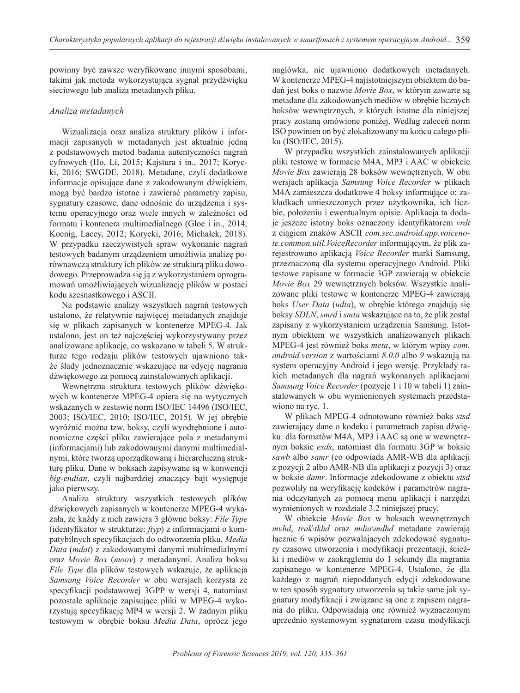powinny być zawsze weryfikowane innymi sposobami, takimi jak metoda wykorzystująca sygnał przydźwięku sieciowego lub analiza metadanych pliku.

## *Analiza metadanych*

Wizualizacja oraz analiza struktury plików i informacji zapisanych w metadanych jest aktualnie jedną z podstawowych metod badania autentyczności nagrań cyfrowych (Ho, Li, 2015; Kajstura i in., 2017; Korycki, 2016; SWGDE, 2018). Metadane, czyli dodatkowe informacje opisujące dane z zakodowanym dźwiękiem, mogą być bardzo istotne i zawierać parametry zapisu, sygnatury czasowe, dane odnośnie do urządzenia i systemu operacyjnego oraz wiele innych w zależności od formatu i kontenera multimedialnego (Gloe i in., 2014; Koenig, Lacey, 2012; Korycki, 2016; Michałek, 2018). W przypadku rzeczywistych spraw wykonanie nagrań testowych badanym urządzeniem umożliwia analizę porównawczą struktury ich plików ze strukturą pliku dowodowego. Przeprowadza się ją z wykorzystaniem oprogramowań umożliwiających wizualizację plików w postaci kodu szesnastkowego i ASCII.

Na podstawie analizy wszystkich nagrań testowych ustalono, że relatywnie najwięcej metadanych znajduje się w plikach zapisanych w kontenerze MPEG-4. Jak ustalono, jest on też najczęściej wykorzystywany przez analizowane aplikacje, co wskazano w tabeli 5. W strukturze tego rodzaju plików testowych ujawniono także ślady jednoznacznie wskazujące na edycję nagrania dźwiękowego za pomocą zainstalowanych aplikacji.

Wewnętrzna struktura testowych plików dźwiękowych w kontenerze MPEG-4 opiera się na wytycznych wskazanych w zestawie norm ISO/IEC 14496 (ISO/IEC, 2003; ISO/IEC, 2010; ISO/IEC, 2015). W jej obrębie wyróżnić można tzw. boksy, czyli wyodrębnione i autonomiczne części pliku zawierające pola z metadanymi (informacjami) lub zakodowanymi danymi multimedialnymi, które tworzą uporządkowaną i hierarchiczną strukturę pliku. Dane w boksach zapisywane są w konwencji *big-endian*, czyli najbardziej znaczący bajt występuje jako pierwszy.

Analiza struktury wszystkich testowych plików dźwiękowych zapisanych w kontenerze MPEG-4 wykazała, że każdy z nich zawiera 3 główne boksy: *File Type* (identyfikator w strukturze: *ftyp*) z informacjami o kompatybilnych specyfikacjach do odtworzenia pliku, *Media Data* (*mdat*) z zakodowanymi danymi multimedialnymi oraz *Movie Box* (*moov*) z metadanymi. Analiza boksu *File Type* dla plików testowych wskazuje, że aplikacja *Samsung Voice Recorder* w obu wersjach korzysta ze specyfikacji podstawowej 3GPP w wersji 4, natomiast pozostałe aplikacje zapisujące pliki w MPEG-4 wykorzystują specyfikację MP4 w wersji 2. W żadnym pliku testowym w obrębie boksu *Media Data*, oprócz jego

nagłówka, nie ujawniono dodatkowych metadanych. W kontenerze MPEG-4 najistotniejszym obiektem do badań jest boks o nazwie *Movie Box*, w którym zawarte są metadane dla zakodowanych mediów w obrębie licznych boksów wewnętrznych, z których istotne dla niniejszej pracy zostaną omówione poniżej. Według zaleceń norm ISO powinien on być zlokalizowany na końcu całego pliku (ISO/IEC, 2015).

W przypadku wszystkich zainstalowanych aplikacji pliki testowe w formacie M4A, MP3 i AAC w obiekcie *Movie Box* zawierają 28 boksów wewnętrznych. W obu wersjach aplikacja *Samsung Voice Recorder* w plikach M4A zamieszcza dodatkowe 4 boksy informujące o: zakładkach umieszczonych przez użytkownika, ich liczbie, położeniu i ewentualnym opisie. Aplikacja ta dodaje jeszcze istotny boks oznaczony identyfikatorem *vrdt* z ciągiem znaków ASCII *com.sec.android.app.voicenote.common.util.VoiceRecorder* informującym, że plik zarejestrowano aplikacją *Voice Recorder* marki Samsung, przeznaczoną dla systemu operacyjnego Android. Pliki testowe zapisane w formacie 3GP zawierają w obiekcie *Movie Box* 29 wewnętrznych boksów. Wszystkie analizowane pliki testowe w kontenerze MPEG-4 zawierają boks *User Data* (*udta*), w obrębie którego znajdują się boksy *SDLN*, *smrd* i *smta* wskazujące na to, że plik został zapisany z wykorzystaniem urządzenia Samsung. Istotnym obiektem we wszystkich analizowanych plikach MPEG-4 jest również boks *meta*, w którym wpisy *com. android.version* z wartościami *8.0.0* albo *9* wskazują na system operacyjny Android i jego wersję. Przykłady takich metadanych dla nagrań wykonanych aplikacjami *Samsung Voice Recorder* (pozycje 1 i 10 w tabeli 1) zainstalowanych w obu wymienionych systemach przedstawiono na ryc. 1.

W plikach MPEG-4 odnotowano również boks *stsd* zawierający dane o kodeku i parametrach zapisu dźwięku: dla formatów M4A, MP3 i AAC są one w wewnętrznym boksie *esds*, natomiast dla formatu 3GP w boksie *sawb* albo *samr* (co odpowiada AMR-WB dla aplikacji z pozycji 2 albo AMR-NB dla aplikacji z pozycji 3) oraz w boksie *damr*. Informacje zdekodowane z obiektu *stsd* pozwoliły na weryfikację kodeków i parametrów nagrania odczytanych za pomocą menu aplikacji i narzędzi wymienionych w rozdziale 3.2 niniejszej pracy.

W obiekcie *Movie Box* w boksach wewnętrznych *mvhd*, *trak*\*tkhd* oraz *mdia*\*mdhd* metadane zawierają łącznie 6 wpisów pozwalających zdekodować sygnatury czasowe utworzenia i modyfikacji prezentacji, ścieżki i mediów w zaokrągleniu do 1 sekundy dla nagrania zapisanego w kontenerze MPEG-4. Ustalono, że dla każdego z nagrań niepoddanych edycji zdekodowane w ten sposób sygnatury utworzenia są takie same jak sygnatury modyfikacji i związane są one z zapisem nagrania do pliku. Odpowiadają one również wyznaczonym uprzednio systemowym sygnaturom czasu modyfikacji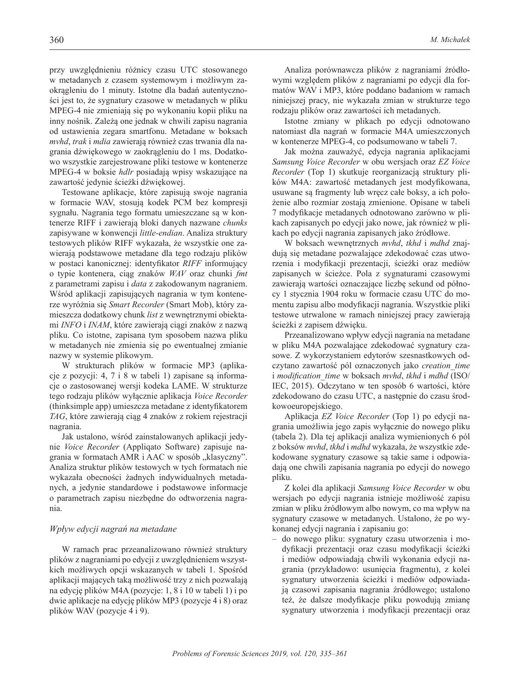przy uwzględnieniu różnicy czasu UTC stosowanego w metadanych z czasem systemowym i możliwym zaokrągleniu do 1 minuty. Istotne dla badań autentyczności jest to, że sygnatury czasowe w metadanych w pliku MPEG-4 nie zmieniają się po wykonaniu kopii pliku na inny nośnik. Zależą one jednak w chwili zapisu nagrania od ustawienia zegara smartfonu. Metadane w boksach *mvhd*, *trak* i *mdia* zawierają również czas trwania dla nagrania dźwiękowego w zaokrągleniu do 1 ms. Dodatkowo wszystkie zarejestrowane pliki testowe w kontenerze MPEG-4 w boksie *hdlr* posiadają wpisy wskazujące na zawartość jedynie ścieżki dźwiękowej.

Testowane aplikacje, które zapisują swoje nagrania w formacie WAV, stosują kodek PCM bez kompresji sygnału. Nagrania tego formatu umieszczane są w kontenerze RIFF i zawierają bloki danych nazwane *chunks* zapisywane w konwencji *little-endian*. Analiza struktury testowych plików RIFF wykazała, że wszystkie one zawierają podstawowe metadane dla tego rodzaju plików w postaci kanonicznej: identyfikator *RIFF* informujący o typie kontenera, ciąg znaków *WAV* oraz chunki *fmt* z parametrami zapisu i *data* z zakodowanym nagraniem. Wśród aplikacji zapisujących nagrania w tym kontenerze wyróżnia się *Smart Recorder* (Smart Mob), który zamieszcza dodatkowy chunk *list* z wewnętrznymi obiektami *INFO* i *INAM*, które zawierają ciągi znaków z nazwą pliku. Co istotne, zapisana tym sposobem nazwa pliku w metadanych nie zmienia się po ewentualnej zmianie nazwy w systemie plikowym.

W strukturach plików w formacie MP3 (aplikacje z pozycji: 4, 7 i 8 w tabeli 1) zapisane są informacje o zastosowanej wersji kodeka LAME. W strukturze tego rodzaju plików wyłącznie aplikacja *Voice Recorder* (thinksimple app) umieszcza metadane z identyfikatorem *TAG*, które zawierają ciąg 4 znaków z rokiem rejestracji nagrania.

Jak ustalono, wśród zainstalowanych aplikacji jedynie *Voice Recorder* (Appliqato Software) zapisuje nagrania w formatach AMR i AAC w sposób "klasyczny". Analiza struktur plików testowych w tych formatach nie wykazała obecności żadnych indywidualnych metadanych, a jedynie standardowe i podstawowe informacje o parametrach zapisu niezbędne do odtworzenia nagrania.

#### *Wpływ edycji nagrań na metadane*

W ramach prac przeanalizowano również struktury plików z nagraniami po edycji z uwzględnieniem wszystkich możliwych opcji wskazanych w tabeli 1. Spośród aplikacji mających taką możliwość trzy z nich pozwalają na edycję plików M4A (pozycje: 1, 8 i 10 w tabeli 1) i po dwie aplikacje na edycję plików MP3 (pozycje 4 i 8) oraz plików WAV (pozycje 4 i 9).

Analiza porównawcza plików z nagraniami źródłowymi względem plików z nagraniami po edycji dla formatów WAV i MP3, które poddano badaniom w ramach niniejszej pracy, nie wykazała zmian w strukturze tego rodzaju plików oraz zawartości ich metadanych.

Istotne zmiany w plikach po edycji odnotowano natomiast dla nagrań w formacie M4A umieszczonych w kontenerze MPEG-4, co podsumowano w tabeli 7.

Jak można zauważyć, edycja nagrania aplikacjami *Samsung Voice Recorder* w obu wersjach oraz *EZ Voice Recorder* (Top 1) skutkuje reorganizacją struktury plików M4A: zawartość metadanych jest modyfikowana, usuwane są fragmenty lub wręcz całe boksy, a ich położenie albo rozmiar zostają zmienione. Opisane w tabeli 7 modyfikacje metadanych odnotowano zarówno w plikach zapisanych po edycji jako nowe, jak również w plikach po edycji nagrania zapisanych jako źródłowe.

W boksach wewnętrznych *mvhd*, *tkhd* i *mdhd* znajdują się metadane pozwalające zdekodować czas utworzenia i modyfikacji prezentacji, ścieżki oraz mediów zapisanych w ścieżce. Pola z sygnaturami czasowymi zawierają wartości oznaczające liczbę sekund od północy 1 stycznia 1904 roku w formacie czasu UTC do momentu zapisu albo modyfikacji nagrania. Wszystkie pliki testowe utrwalone w ramach niniejszej pracy zawierają ścieżki z zapisem dźwięku.

Przeanalizowano wpływ edycji nagrania na metadane w pliku M4A pozwalające zdekodować sygnatury czasowe. Z wykorzystaniem edytorów szesnastkowych odczytano zawartość pól oznaczonych jako *creation\_time* i *modification\_time* w boksach *mvhd*, *tkhd* i *mdhd* (ISO/ IEC, 2015). Odczytano w ten sposób 6 wartości, które zdekodowano do czasu UTC, a następnie do czasu środkowoeuropejskiego.

Aplikacja *EZ Voice Recorder* (Top 1) po edycji nagrania umożliwia jego zapis wyłącznie do nowego pliku (tabela 2). Dla tej aplikacji analiza wymienionych 6 pól z boksów *mvhd*, *tkhd* i *mdhd* wykazała, że wszystkie zdekodowane sygnatury czasowe są takie same i odpowiadają one chwili zapisania nagrania po edycji do nowego pliku.

Z kolei dla aplikacji *Samsung Voice Recorder* w obu wersjach po edycji nagrania istnieje możliwość zapisu zmian w pliku źródłowym albo nowym, co ma wpływ na sygnatury czasowe w metadanych. Ustalono, że po wykonanej edycji nagrania i zapisaniu go:

– do nowego pliku: sygnatury czasu utworzenia i modyfikacji prezentacji oraz czasu modyfikacji ścieżki i mediów odpowiadają chwili wykonania edycji nagrania (przykładowo: usunięcia fragmentu), z kolei sygnatury utworzenia ścieżki i mediów odpowiadają czasowi zapisania nagrania źródłowego; ustalono też, że dalsze modyfikacje pliku powodują zmianę sygnatury utworzenia i modyfikacji prezentacji oraz